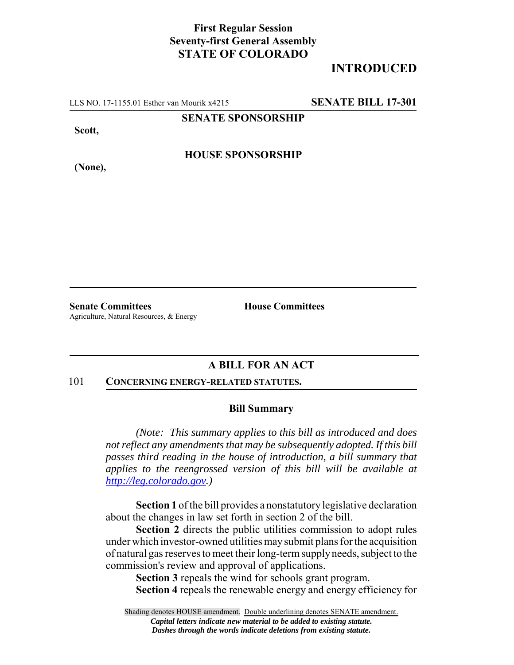## **First Regular Session Seventy-first General Assembly STATE OF COLORADO**

## **INTRODUCED**

LLS NO. 17-1155.01 Esther van Mourik x4215 **SENATE BILL 17-301**

**SENATE SPONSORSHIP**

**Scott,**

**(None),**

**HOUSE SPONSORSHIP**

**Senate Committees House Committees** Agriculture, Natural Resources, & Energy

## **A BILL FOR AN ACT**

#### 101 **CONCERNING ENERGY-RELATED STATUTES.**

#### **Bill Summary**

*(Note: This summary applies to this bill as introduced and does not reflect any amendments that may be subsequently adopted. If this bill passes third reading in the house of introduction, a bill summary that applies to the reengrossed version of this bill will be available at http://leg.colorado.gov.)*

**Section 1** of the bill provides a nonstatutory legislative declaration about the changes in law set forth in section 2 of the bill.

**Section 2** directs the public utilities commission to adopt rules under which investor-owned utilities may submit plans for the acquisition of natural gas reserves to meet their long-term supply needs, subject to the commission's review and approval of applications.

**Section 3** repeals the wind for schools grant program. **Section 4** repeals the renewable energy and energy efficiency for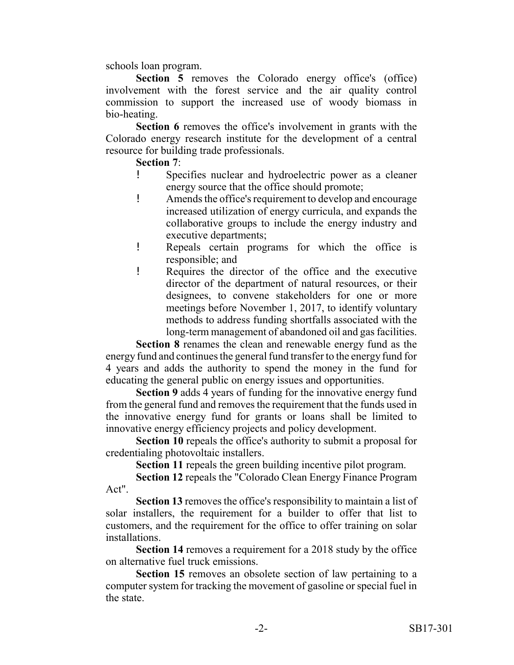schools loan program.

**Section 5** removes the Colorado energy office's (office) involvement with the forest service and the air quality control commission to support the increased use of woody biomass in bio-heating.

**Section 6** removes the office's involvement in grants with the Colorado energy research institute for the development of a central resource for building trade professionals.

## **Section 7**:

- ! Specifies nuclear and hydroelectric power as a cleaner energy source that the office should promote;
- ! Amends the office's requirement to develop and encourage increased utilization of energy curricula, and expands the collaborative groups to include the energy industry and executive departments;
- ! Repeals certain programs for which the office is responsible; and
- ! Requires the director of the office and the executive director of the department of natural resources, or their designees, to convene stakeholders for one or more meetings before November 1, 2017, to identify voluntary methods to address funding shortfalls associated with the long-term management of abandoned oil and gas facilities.

**Section 8** renames the clean and renewable energy fund as the energy fund and continues the general fund transfer to the energy fund for 4 years and adds the authority to spend the money in the fund for educating the general public on energy issues and opportunities.

**Section 9** adds 4 years of funding for the innovative energy fund from the general fund and removes the requirement that the funds used in the innovative energy fund for grants or loans shall be limited to innovative energy efficiency projects and policy development.

**Section 10** repeals the office's authority to submit a proposal for credentialing photovoltaic installers.

**Section 11** repeals the green building incentive pilot program.

**Section 12** repeals the "Colorado Clean Energy Finance Program Act".

**Section 13** removes the office's responsibility to maintain a list of solar installers, the requirement for a builder to offer that list to customers, and the requirement for the office to offer training on solar installations.

**Section 14** removes a requirement for a 2018 study by the office on alternative fuel truck emissions.

**Section 15** removes an obsolete section of law pertaining to a computer system for tracking the movement of gasoline or special fuel in the state.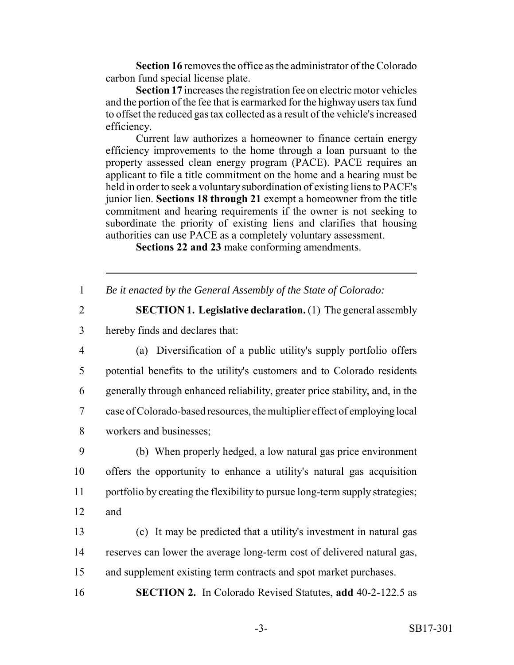**Section 16** removes the office as the administrator of the Colorado carbon fund special license plate.

**Section 17** increases the registration fee on electric motor vehicles and the portion of the fee that is earmarked for the highway users tax fund to offset the reduced gas tax collected as a result of the vehicle's increased efficiency.

Current law authorizes a homeowner to finance certain energy efficiency improvements to the home through a loan pursuant to the property assessed clean energy program (PACE). PACE requires an applicant to file a title commitment on the home and a hearing must be held in order to seek a voluntary subordination of existing liens to PACE's junior lien. **Sections 18 through 21** exempt a homeowner from the title commitment and hearing requirements if the owner is not seeking to subordinate the priority of existing liens and clarifies that housing authorities can use PACE as a completely voluntary assessment.

**Sections 22 and 23** make conforming amendments.

|  | Be it enacted by the General Assembly of the State of Colorado: |  |
|--|-----------------------------------------------------------------|--|
|--|-----------------------------------------------------------------|--|

2 **SECTION 1. Legislative declaration.** (1) The general assembly 3 hereby finds and declares that:

 (a) Diversification of a public utility's supply portfolio offers potential benefits to the utility's customers and to Colorado residents generally through enhanced reliability, greater price stability, and, in the case of Colorado-based resources, the multiplier effect of employing local workers and businesses;

9 (b) When properly hedged, a low natural gas price environment 10 offers the opportunity to enhance a utility's natural gas acquisition 11 portfolio by creating the flexibility to pursue long-term supply strategies; 12 and

13 (c) It may be predicted that a utility's investment in natural gas 14 reserves can lower the average long-term cost of delivered natural gas, 15 and supplement existing term contracts and spot market purchases.

16 **SECTION 2.** In Colorado Revised Statutes, **add** 40-2-122.5 as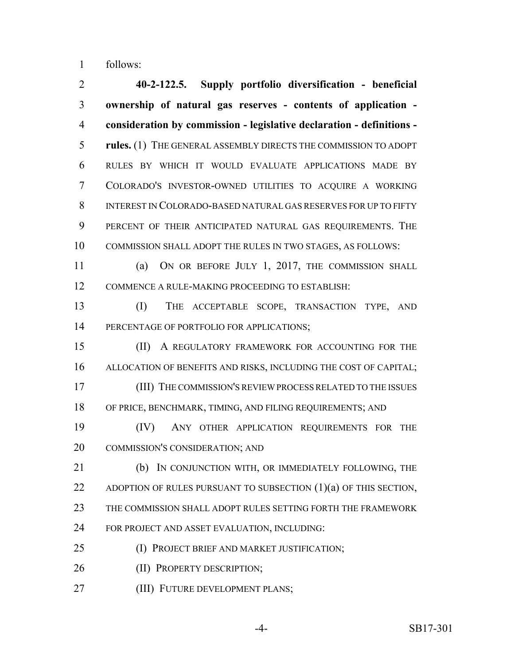follows:

 **40-2-122.5. Supply portfolio diversification - beneficial ownership of natural gas reserves - contents of application - consideration by commission - legislative declaration - definitions - rules.** (1) THE GENERAL ASSEMBLY DIRECTS THE COMMISSION TO ADOPT RULES BY WHICH IT WOULD EVALUATE APPLICATIONS MADE BY COLORADO'S INVESTOR-OWNED UTILITIES TO ACQUIRE A WORKING INTEREST IN COLORADO-BASED NATURAL GAS RESERVES FOR UP TO FIFTY PERCENT OF THEIR ANTICIPATED NATURAL GAS REQUIREMENTS. THE COMMISSION SHALL ADOPT THE RULES IN TWO STAGES, AS FOLLOWS:

 (a) ON OR BEFORE JULY 1, 2017, THE COMMISSION SHALL COMMENCE A RULE-MAKING PROCEEDING TO ESTABLISH:

 (I) THE ACCEPTABLE SCOPE, TRANSACTION TYPE, AND 14 PERCENTAGE OF PORTFOLIO FOR APPLICATIONS;

 (II) A REGULATORY FRAMEWORK FOR ACCOUNTING FOR THE ALLOCATION OF BENEFITS AND RISKS, INCLUDING THE COST OF CAPITAL; (III) THE COMMISSION'S REVIEW PROCESS RELATED TO THE ISSUES OF PRICE, BENCHMARK, TIMING, AND FILING REQUIREMENTS; AND

 (IV) ANY OTHER APPLICATION REQUIREMENTS FOR THE COMMISSION'S CONSIDERATION; AND

 (b) IN CONJUNCTION WITH, OR IMMEDIATELY FOLLOWING, THE ADOPTION OF RULES PURSUANT TO SUBSECTION (1)(a) OF THIS SECTION, THE COMMISSION SHALL ADOPT RULES SETTING FORTH THE FRAMEWORK FOR PROJECT AND ASSET EVALUATION, INCLUDING:

(I) PROJECT BRIEF AND MARKET JUSTIFICATION;

26 (II) PROPERTY DESCRIPTION;

(III) FUTURE DEVELOPMENT PLANS;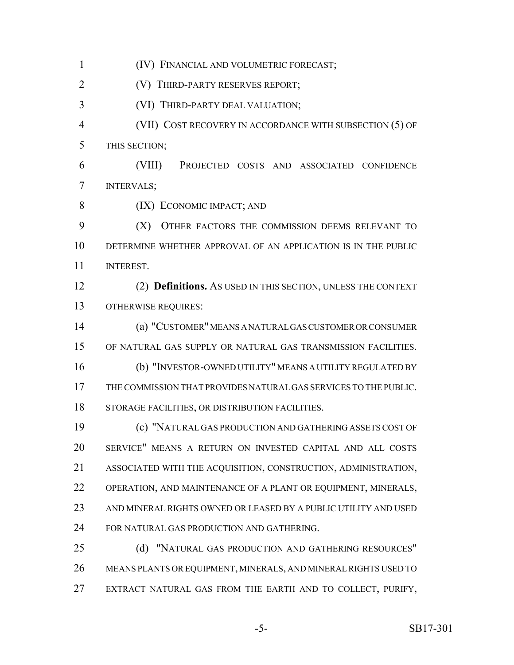(IV) FINANCIAL AND VOLUMETRIC FORECAST; (V) THIRD-PARTY RESERVES REPORT; (VI) THIRD-PARTY DEAL VALUATION; (VII) COST RECOVERY IN ACCORDANCE WITH SUBSECTION (5) OF THIS SECTION; (VIII) PROJECTED COSTS AND ASSOCIATED CONFIDENCE INTERVALS; (IX) ECONOMIC IMPACT; AND (X) OTHER FACTORS THE COMMISSION DEEMS RELEVANT TO DETERMINE WHETHER APPROVAL OF AN APPLICATION IS IN THE PUBLIC INTEREST. (2) **Definitions.** AS USED IN THIS SECTION, UNLESS THE CONTEXT OTHERWISE REQUIRES: (a) "CUSTOMER" MEANS A NATURAL GAS CUSTOMER OR CONSUMER OF NATURAL GAS SUPPLY OR NATURAL GAS TRANSMISSION FACILITIES. (b) "INVESTOR-OWNED UTILITY" MEANS A UTILITY REGULATED BY THE COMMISSION THAT PROVIDES NATURAL GAS SERVICES TO THE PUBLIC. STORAGE FACILITIES, OR DISTRIBUTION FACILITIES. (c) "NATURAL GAS PRODUCTION AND GATHERING ASSETS COST OF SERVICE" MEANS A RETURN ON INVESTED CAPITAL AND ALL COSTS ASSOCIATED WITH THE ACQUISITION, CONSTRUCTION, ADMINISTRATION, OPERATION, AND MAINTENANCE OF A PLANT OR EQUIPMENT, MINERALS, AND MINERAL RIGHTS OWNED OR LEASED BY A PUBLIC UTILITY AND USED FOR NATURAL GAS PRODUCTION AND GATHERING. 25 (d) "NATURAL GAS PRODUCTION AND GATHERING RESOURCES" MEANS PLANTS OR EQUIPMENT, MINERALS, AND MINERAL RIGHTS USED TO EXTRACT NATURAL GAS FROM THE EARTH AND TO COLLECT, PURIFY,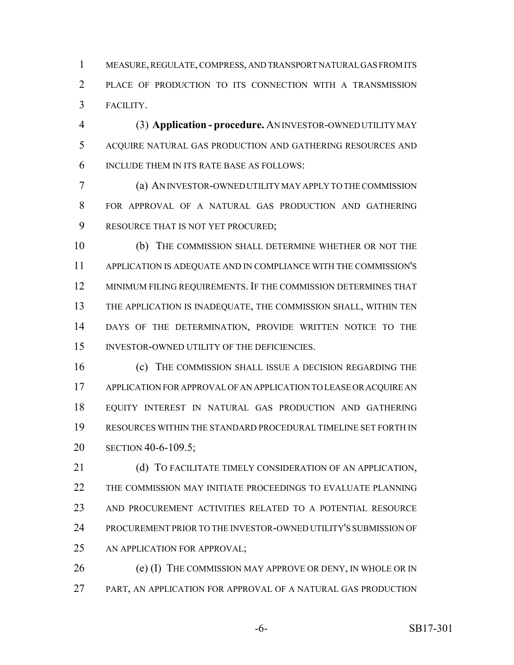MEASURE, REGULATE, COMPRESS, AND TRANSPORT NATURAL GAS FROM ITS PLACE OF PRODUCTION TO ITS CONNECTION WITH A TRANSMISSION FACILITY.

 (3) **Application - procedure.** AN INVESTOR-OWNED UTILITY MAY ACQUIRE NATURAL GAS PRODUCTION AND GATHERING RESOURCES AND INCLUDE THEM IN ITS RATE BASE AS FOLLOWS:

 (a) AN INVESTOR-OWNED UTILITY MAY APPLY TO THE COMMISSION FOR APPROVAL OF A NATURAL GAS PRODUCTION AND GATHERING RESOURCE THAT IS NOT YET PROCURED;

 (b) THE COMMISSION SHALL DETERMINE WHETHER OR NOT THE APPLICATION IS ADEQUATE AND IN COMPLIANCE WITH THE COMMISSION'S MINIMUM FILING REQUIREMENTS. IF THE COMMISSION DETERMINES THAT THE APPLICATION IS INADEQUATE, THE COMMISSION SHALL, WITHIN TEN DAYS OF THE DETERMINATION, PROVIDE WRITTEN NOTICE TO THE INVESTOR-OWNED UTILITY OF THE DEFICIENCIES.

 (c) THE COMMISSION SHALL ISSUE A DECISION REGARDING THE APPLICATION FOR APPROVAL OF AN APPLICATION TO LEASE OR ACQUIRE AN EQUITY INTEREST IN NATURAL GAS PRODUCTION AND GATHERING RESOURCES WITHIN THE STANDARD PROCEDURAL TIMELINE SET FORTH IN SECTION 40-6-109.5;

21 (d) TO FACILITATE TIMELY CONSIDERATION OF AN APPLICATION, THE COMMISSION MAY INITIATE PROCEEDINGS TO EVALUATE PLANNING AND PROCUREMENT ACTIVITIES RELATED TO A POTENTIAL RESOURCE PROCUREMENT PRIOR TO THE INVESTOR-OWNED UTILITY'S SUBMISSION OF AN APPLICATION FOR APPROVAL;

26 (e) (I) THE COMMISSION MAY APPROVE OR DENY, IN WHOLE OR IN PART, AN APPLICATION FOR APPROVAL OF A NATURAL GAS PRODUCTION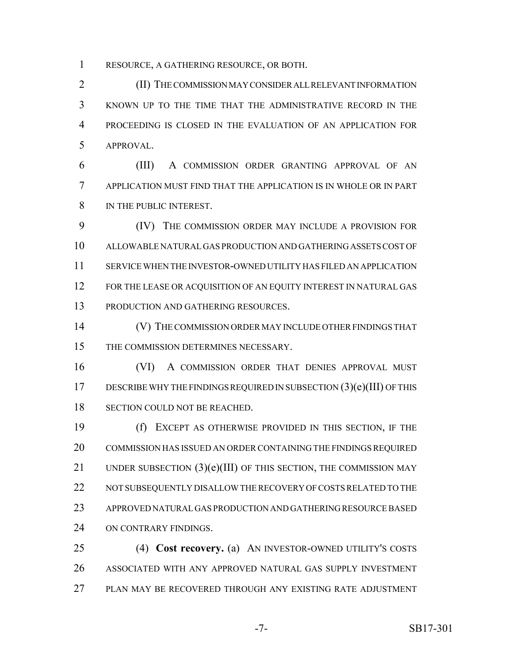RESOURCE, A GATHERING RESOURCE, OR BOTH.

 (II) THE COMMISSION MAY CONSIDER ALL RELEVANT INFORMATION KNOWN UP TO THE TIME THAT THE ADMINISTRATIVE RECORD IN THE PROCEEDING IS CLOSED IN THE EVALUATION OF AN APPLICATION FOR APPROVAL.

 (III) A COMMISSION ORDER GRANTING APPROVAL OF AN APPLICATION MUST FIND THAT THE APPLICATION IS IN WHOLE OR IN PART IN THE PUBLIC INTEREST.

 (IV) THE COMMISSION ORDER MAY INCLUDE A PROVISION FOR ALLOWABLE NATURAL GAS PRODUCTION AND GATHERING ASSETS COST OF SERVICE WHEN THE INVESTOR-OWNED UTILITY HAS FILED AN APPLICATION 12 FOR THE LEASE OR ACQUISITION OF AN EQUITY INTEREST IN NATURAL GAS PRODUCTION AND GATHERING RESOURCES.

 (V) THE COMMISSION ORDER MAY INCLUDE OTHER FINDINGS THAT THE COMMISSION DETERMINES NECESSARY.

 (VI) A COMMISSION ORDER THAT DENIES APPROVAL MUST 17 DESCRIBE WHY THE FINDINGS REQUIRED IN SUBSECTION  $(3)(e)(III)$  OF THIS 18 SECTION COULD NOT BE REACHED.

 (f) EXCEPT AS OTHERWISE PROVIDED IN THIS SECTION, IF THE COMMISSION HAS ISSUED AN ORDER CONTAINING THE FINDINGS REQUIRED 21 UNDER SUBSECTION  $(3)(e)(III)$  OF THIS SECTION, THE COMMISSION MAY NOT SUBSEQUENTLY DISALLOW THE RECOVERY OF COSTS RELATED TO THE APPROVED NATURAL GAS PRODUCTION AND GATHERING RESOURCE BASED ON CONTRARY FINDINGS.

 (4) **Cost recovery.** (a) AN INVESTOR-OWNED UTILITY'S COSTS ASSOCIATED WITH ANY APPROVED NATURAL GAS SUPPLY INVESTMENT PLAN MAY BE RECOVERED THROUGH ANY EXISTING RATE ADJUSTMENT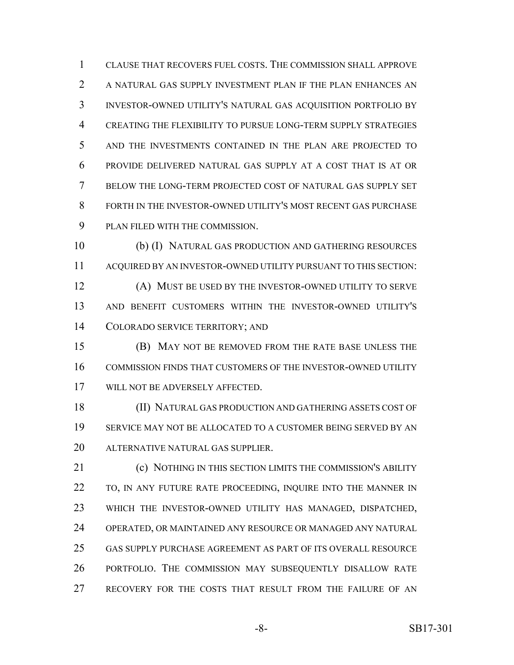CLAUSE THAT RECOVERS FUEL COSTS. THE COMMISSION SHALL APPROVE A NATURAL GAS SUPPLY INVESTMENT PLAN IF THE PLAN ENHANCES AN INVESTOR-OWNED UTILITY'S NATURAL GAS ACQUISITION PORTFOLIO BY CREATING THE FLEXIBILITY TO PURSUE LONG-TERM SUPPLY STRATEGIES AND THE INVESTMENTS CONTAINED IN THE PLAN ARE PROJECTED TO PROVIDE DELIVERED NATURAL GAS SUPPLY AT A COST THAT IS AT OR BELOW THE LONG-TERM PROJECTED COST OF NATURAL GAS SUPPLY SET FORTH IN THE INVESTOR-OWNED UTILITY'S MOST RECENT GAS PURCHASE PLAN FILED WITH THE COMMISSION.

 (b) (I) NATURAL GAS PRODUCTION AND GATHERING RESOURCES ACQUIRED BY AN INVESTOR-OWNED UTILITY PURSUANT TO THIS SECTION: (A) MUST BE USED BY THE INVESTOR-OWNED UTILITY TO SERVE AND BENEFIT CUSTOMERS WITHIN THE INVESTOR-OWNED UTILITY'S COLORADO SERVICE TERRITORY; AND

 (B) MAY NOT BE REMOVED FROM THE RATE BASE UNLESS THE COMMISSION FINDS THAT CUSTOMERS OF THE INVESTOR-OWNED UTILITY WILL NOT BE ADVERSELY AFFECTED.

 (II) NATURAL GAS PRODUCTION AND GATHERING ASSETS COST OF SERVICE MAY NOT BE ALLOCATED TO A CUSTOMER BEING SERVED BY AN ALTERNATIVE NATURAL GAS SUPPLIER.

 (c) NOTHING IN THIS SECTION LIMITS THE COMMISSION'S ABILITY 22 TO, IN ANY FUTURE RATE PROCEEDING, INQUIRE INTO THE MANNER IN WHICH THE INVESTOR-OWNED UTILITY HAS MANAGED, DISPATCHED, OPERATED, OR MAINTAINED ANY RESOURCE OR MANAGED ANY NATURAL GAS SUPPLY PURCHASE AGREEMENT AS PART OF ITS OVERALL RESOURCE PORTFOLIO. THE COMMISSION MAY SUBSEQUENTLY DISALLOW RATE RECOVERY FOR THE COSTS THAT RESULT FROM THE FAILURE OF AN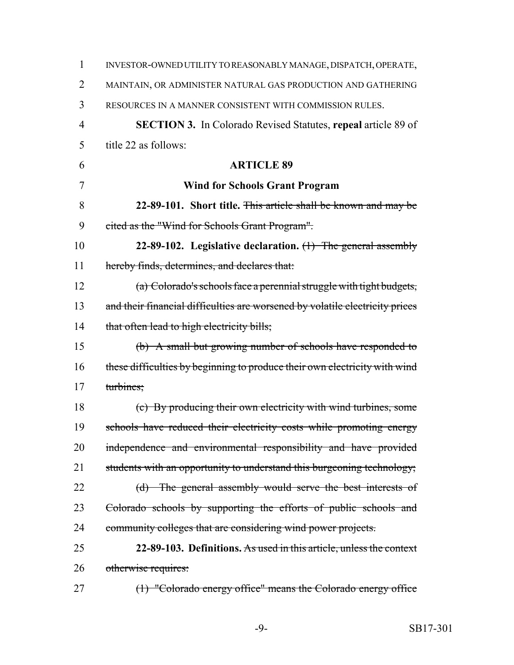| 1              | INVESTOR-OWNED UTILITY TO REASONABLY MANAGE, DISPATCH, OPERATE,              |
|----------------|------------------------------------------------------------------------------|
| 2              | MAINTAIN, OR ADMINISTER NATURAL GAS PRODUCTION AND GATHERING                 |
| 3              | RESOURCES IN A MANNER CONSISTENT WITH COMMISSION RULES.                      |
| $\overline{4}$ | <b>SECTION 3.</b> In Colorado Revised Statutes, repeal article 89 of         |
| 5              | title 22 as follows:                                                         |
| 6              | <b>ARTICLE 89</b>                                                            |
| 7              | <b>Wind for Schools Grant Program</b>                                        |
| 8              | 22-89-101. Short title. This article shall be known and may be               |
| 9              | eited as the "Wind for Schools Grant Program".                               |
| 10             | 22-89-102. Legislative declaration. $(1)$ The general assembly               |
| 11             | hereby finds, determines, and declares that:                                 |
| 12             | (a) Colorado's schools face a perennial struggle with tight budgets,         |
| 13             | and their financial difficulties are worsened by volatile electricity prices |
| 14             | that often lead to high electricity bills;                                   |
| 15             | (b) A small but growing number of schools have responded to                  |
| 16             | these difficulties by beginning to produce their own electricity with wind   |
| 17             | turbines;                                                                    |
| 18             | (c) By producing their own electricity with wind turbines, some              |
| 19             | schools have reduced their electricity costs while promoting energy          |
| 20             | independence and environmental responsibility and have provided              |
| 21             | students with an opportunity to understand this burgeoning technology;       |
| 22             | (d) The general assembly would serve the best interests of                   |
| 23             | Colorado schools by supporting the efforts of public schools and             |
| 24             | community colleges that are considering wind power projects.                 |
| 25             | 22-89-103. Definitions. As used in this article, unless the context          |
| 26             | otherwise requires:                                                          |
| 27             | $(1)$ "Colorado energy office" means the Colorado energy office              |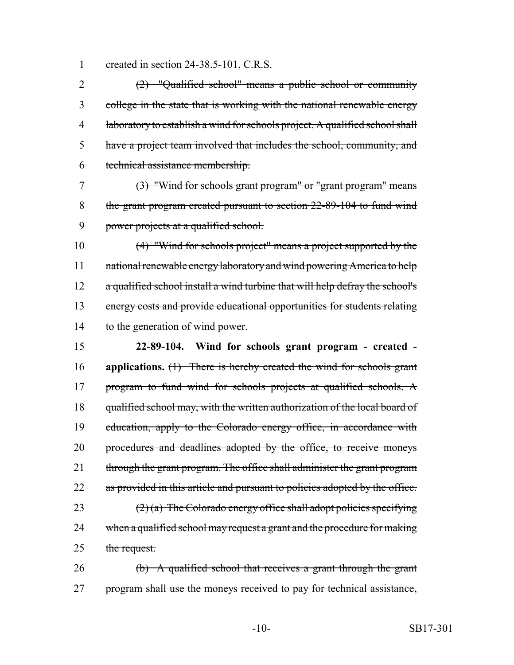1 created in section 24-38.5-101, C.R.S.

 (2) "Qualified school" means a public school or community college in the state that is working with the national renewable energy laboratory to establish a wind for schools project. A qualified school shall have a project team involved that includes the school, community, and technical assistance membership.

7 (3) "Wind for schools grant program" or "grant program" means 8 the grant program created pursuant to section 22-89-104 to fund wind 9 power projects at a qualified school.

10 (4) "Wind for schools project" means a project supported by the 11 national renewable energy laboratory and wind powering America to help 12 a qualified school install a wind turbine that will help defray the school's 13 energy costs and provide educational opportunities for students relating 14 to the generation of wind power.

15 **22-89-104. Wind for schools grant program - created -** 16 **applications.** (1) There is hereby created the wind for schools grant 17 program to fund wind for schools projects at qualified schools. A 18 qualified school may, with the written authorization of the local board of 19 education, apply to the Colorado energy office, in accordance with 20 procedures and deadlines adopted by the office, to receive moneys 21 through the grant program. The office shall administer the grant program 22 as provided in this article and pursuant to policies adopted by the office. 23  $(2)$  (a) The Colorado energy office shall adopt policies specifying 24 when a qualified school may request a grant and the procedure for making 25 the request.

26 (b) A qualified school that receives a grant through the grant 27 program shall use the moneys received to pay for technical assistance,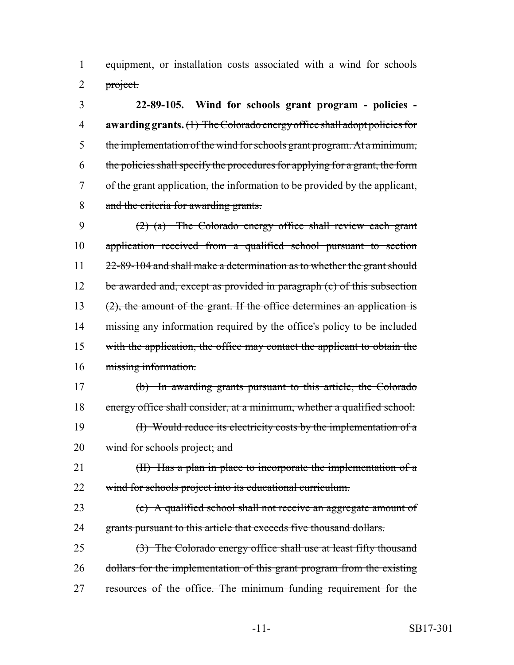equipment, or installation costs associated with a wind for schools 2 project.

 **22-89-105. Wind for schools grant program - policies - awarding grants.** (1) The Colorado energy office shall adopt policies for the implementation of the wind for schools grant program. At a minimum, the policies shall specify the procedures for applying for a grant, the form of the grant application, the information to be provided by the applicant, and the criteria for awarding grants.

 (2) (a) The Colorado energy office shall review each grant application received from a qualified school pursuant to section 11 22-89-104 and shall make a determination as to whether the grant should 12 be awarded and, except as provided in paragraph (c) of this subsection 13 (2), the amount of the grant. If the office determines an application is 14 missing any information required by the office's policy to be included 15 with the application, the office may contact the applicant to obtain the missing information.

 (b) In awarding grants pursuant to this article, the Colorado energy office shall consider, at a minimum, whether a qualified school: (I) Would reduce its electricity costs by the implementation of a wind for schools project; and

21 (II) Has a plan in place to incorporate the implementation of a wind for schools project into its educational curriculum.

 (c) A qualified school shall not receive an aggregate amount of 24 grants pursuant to this article that exceeds five thousand dollars.

 (3) The Colorado energy office shall use at least fifty thousand 26 dollars for the implementation of this grant program from the existing resources of the office. The minimum funding requirement for the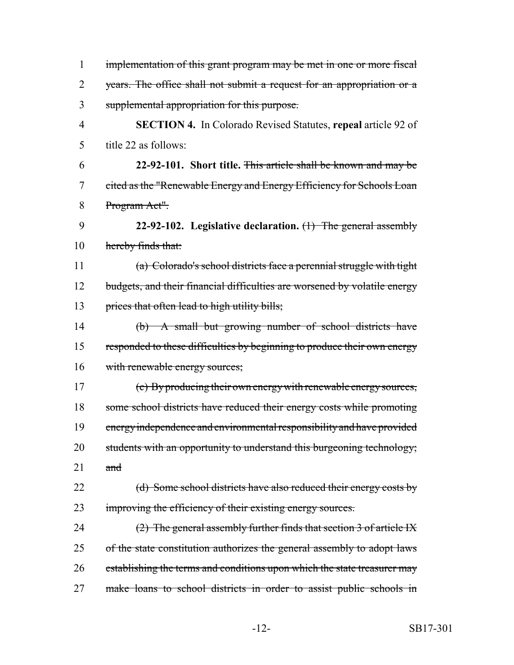| $\mathbf{1}$   | implementation of this grant program may be met in one or more fiscal     |
|----------------|---------------------------------------------------------------------------|
| $\overline{2}$ | years. The office shall not submit a request for an appropriation or a    |
| 3              | supplemental appropriation for this purpose.                              |
| $\overline{4}$ | <b>SECTION 4.</b> In Colorado Revised Statutes, repeal article 92 of      |
| 5              | title 22 as follows:                                                      |
| 6              | 22-92-101. Short title. This article shall be known and may be            |
| 7              | eited as the "Renewable Energy and Energy Efficiency for Schools Loan     |
| 8              | Program Act".                                                             |
| 9              | 22-92-102. Legislative declaration. $(1)$ The general assembly            |
| 10             | hereby finds that:                                                        |
| 11             | (a) Colorado's school districts face a perennial struggle with tight      |
| 12             | budgets, and their financial difficulties are worsened by volatile energy |
| 13             | prices that often lead to high utility bills;                             |
| 14             | (b) A small but growing number of school districts have                   |
| 15             | responded to these difficulties by beginning to produce their own energy  |
| 16             | with renewable energy sources;                                            |
| 17             | (c) By producing their own energy with renewable energy sources,          |
| 18             | some school districts have reduced their energy costs while promoting     |
| 19             | energy independence and environmental responsibility and have provided    |
| 20             | students with an opportunity to understand this burgeoning technology;    |
| 21             | and                                                                       |
| 22             | (d) Some school districts have also reduced their energy costs by         |
| 23             | improving the efficiency of their existing energy sources.                |
| 24             | $(2)$ The general assembly further finds that section 3 of article IX     |
| 25             | of the state constitution authorizes the general assembly to adopt laws   |
| 26             | establishing the terms and conditions upon which the state treasurer may  |
| 27             | make loans to school districts in order to assist public schools in       |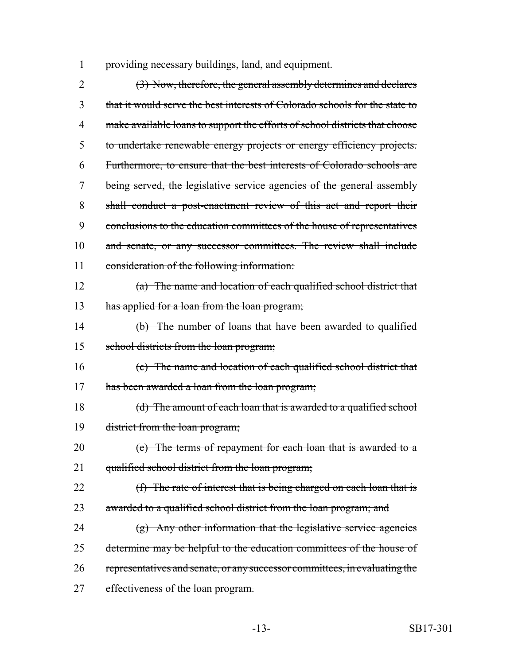1 providing necessary buildings, land, and equipment.

2 (3) Now, therefore, the general assembly determines and declares 3 that it would serve the best interests of Colorado schools for the state to 4 make available loans to support the efforts of school districts that choose 5 to undertake renewable energy projects or energy efficiency projects. 6 Furthermore, to ensure that the best interests of Colorado schools are 7 being served, the legislative service agencies of the general assembly 8 shall conduct a post-enactment review of this act and report their 9 conclusions to the education committees of the house of representatives 10 and senate, or any successor committees. The review shall include 11 consideration of the following information: 12 (a) The name and location of each qualified school district that 13 has applied for a loan from the loan program; 14 (b) The number of loans that have been awarded to qualified 15 school districts from the loan program; 16 (c) The name and location of each qualified school district that 17 has been awarded a loan from the loan program; 18 (d) The amount of each loan that is awarded to a qualified school 19 district from the loan program; 20 (e) The terms of repayment for each loan that is awarded to a 21 qualified school district from the loan program; 22 (f) The rate of interest that is being charged on each loan that is 23 awarded to a qualified school district from the loan program; and 24 (g) Any other information that the legislative service agencies 25 determine may be helpful to the education committees of the house of 26 representatives and senate, or any successor committees, in evaluating the 27 effectiveness of the loan program.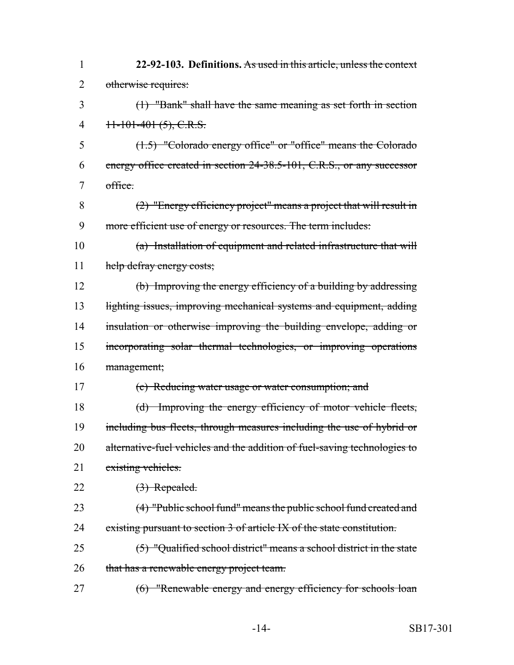| $\mathbf{1}$   | 22-92-103. Definitions. As used in this article, unless the context       |
|----------------|---------------------------------------------------------------------------|
| $\overline{2}$ | otherwise requires:                                                       |
| 3              | (1) "Bank" shall have the same meaning as set forth in section            |
| 4              | $+1-101-401(5)$ , C.R.S.                                                  |
| 5              | (1.5) "Colorado energy office" or "office" means the Colorado             |
| 6              | energy office created in section 24-38.5-101, C.R.S., or any successor    |
| 7              | office.                                                                   |
| 8              | $(2)$ "Energy efficiency project" means a project that will result in     |
| 9              | more efficient use of energy or resources. The term includes:             |
| 10             | (a) Installation of equipment and related infrastructure that will        |
| 11             | help defray energy costs;                                                 |
| 12             | (b) Improving the energy efficiency of a building by addressing           |
| 13             | lighting issues, improving mechanical systems and equipment, adding       |
| 14             | insulation or otherwise improving the building envelope, adding or        |
| 15             | incorporating solar thermal technologies, or improving operations         |
| 16             | management;                                                               |
| 17             | (c) Reducing water usage or water consumption; and                        |
| 18             | (d) Improving the energy efficiency of motor vehicle fleets,              |
| 19             | including bus fleets, through measures including the use of hybrid or     |
| 20             | alternative-fuel vehicles and the addition of fuel-saving technologies to |
| 21             | existing vehicles.                                                        |
| 22             | (3) Repealed.                                                             |
| 23             | (4) "Public school fund" means the public school fund created and         |
| 24             | existing pursuant to section 3 of article IX of the state constitution.   |
| 25             | $(5)$ "Qualified school district" means a school district in the state    |
| 26             | that has a renewable energy project team.                                 |
| 27             | (6) "Renewable energy and energy efficiency for schools loan              |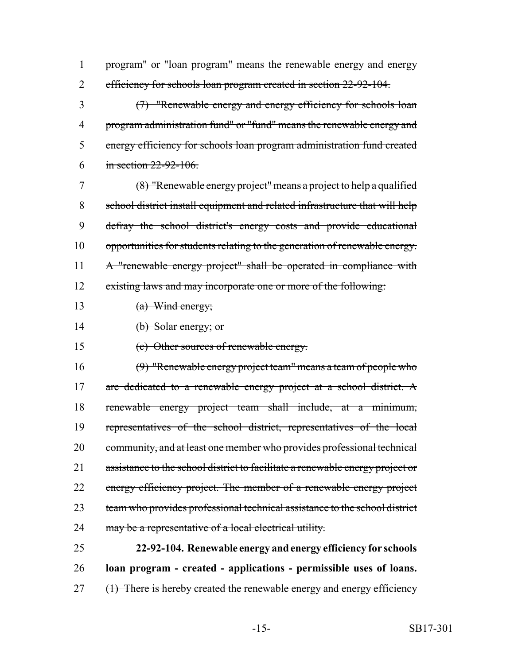program" or "loan program" means the renewable energy and energy 2 efficiency for schools loan program created in section 22-92-104.

 (7) "Renewable energy and energy efficiency for schools loan program administration fund" or "fund" means the renewable energy and energy efficiency for schools loan program administration fund created in section 22-92-106.

 (8) "Renewable energy project" means a project to help a qualified school district install equipment and related infrastructure that will help defray the school district's energy costs and provide educational opportunities for students relating to the generation of renewable energy. 11 A "renewable energy project" shall be operated in compliance with 12 existing laws and may incorporate one or more of the following:

13 (a) Wind energy;

(b) Solar energy; or

(c) Other sources of renewable energy.

 (9) "Renewable energy project team" means a team of people who 17 are dedicated to a renewable energy project at a school district. A renewable energy project team shall include, at a minimum, representatives of the school district, representatives of the local 20 community, and at least one member who provides professional technical 21 assistance to the school district to facilitate a renewable energy project or 22 energy efficiency project. The member of a renewable energy project team who provides professional technical assistance to the school district 24 may be a representative of a local electrical utility.

 **22-92-104. Renewable energy and energy efficiency for schools loan program - created - applications - permissible uses of loans.** 27 (1) There is hereby created the renewable energy and energy efficiency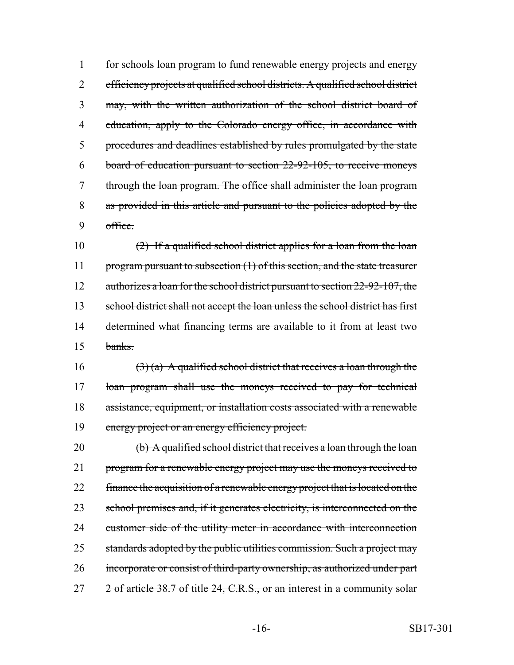for schools loan program to fund renewable energy projects and energy efficiency projects at qualified school districts. A qualified school district may, with the written authorization of the school district board of 4 education, apply to the Colorado energy office, in accordance with procedures and deadlines established by rules promulgated by the state board of education pursuant to section 22-92-105, to receive moneys through the loan program. The office shall administer the loan program as provided in this article and pursuant to the policies adopted by the 9 office.

10 (2) If a qualified school district applies for a loan from the loan 11 program pursuant to subsection (1) of this section, and the state treasurer 12 authorizes a loan for the school district pursuant to section 22-92-107, the 13 school district shall not accept the loan unless the school district has first 14 determined what financing terms are available to it from at least two 15 banks.

16 (3) (a) A qualified school district that receives a loan through the 17 loan program shall use the moneys received to pay for technical 18 assistance, equipment, or installation costs associated with a renewable 19 energy project or an energy efficiency project.

20 (b) A qualified school district that receives a loan through the loan 21 program for a renewable energy project may use the moneys received to 22 finance the acquisition of a renewable energy project that is located on the 23 school premises and, if it generates electricity, is interconnected on the 24 customer side of the utility meter in accordance with interconnection 25 standards adopted by the public utilities commission. Such a project may 26 incorporate or consist of third-party ownership, as authorized under part 27 2 of article 38.7 of title 24, C.R.S., or an interest in a community solar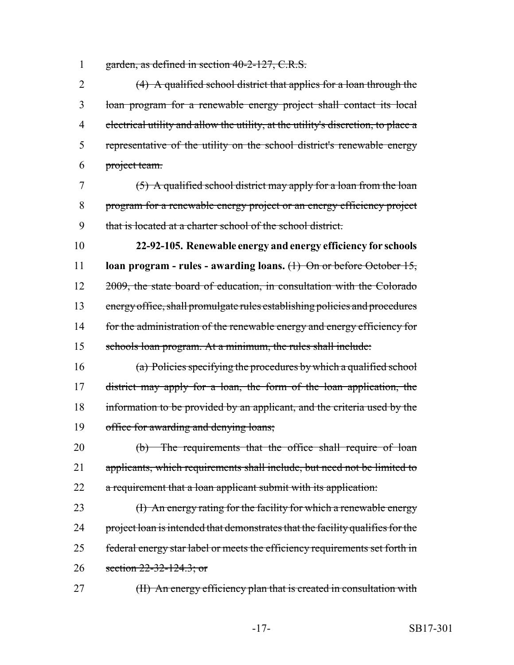1 garden, as defined in section 40-2-127, C.R.S.

 (4) A qualified school district that applies for a loan through the loan program for a renewable energy project shall contact its local electrical utility and allow the utility, at the utility's discretion, to place a representative of the utility on the school district's renewable energy project team.

7 (5) A qualified school district may apply for a loan from the loan 8 program for a renewable energy project or an energy efficiency project 9 that is located at a charter school of the school district.

 **22-92-105. Renewable energy and energy efficiency for schools loan program - rules - awarding loans.** (1) On or before October 15, 12 2009, the state board of education, in consultation with the Colorado energy office, shall promulgate rules establishing policies and procedures 14 for the administration of the renewable energy and energy efficiency for schools loan program. At a minimum, the rules shall include:

 (a) Policies specifying the procedures by which a qualified school district may apply for a loan, the form of the loan application, the 18 information to be provided by an applicant, and the criteria used by the office for awarding and denying loans;

20 (b) The requirements that the office shall require of loan 21 applicants, which requirements shall include, but need not be limited to 22 a requirement that a loan applicant submit with its application:

23 (I) An energy rating for the facility for which a renewable energy 24 project loan is intended that demonstrates that the facility qualifies for the 25 federal energy star label or meets the efficiency requirements set forth in 26 section 22-32-124.3; or

27 (II) An energy efficiency plan that is created in consultation with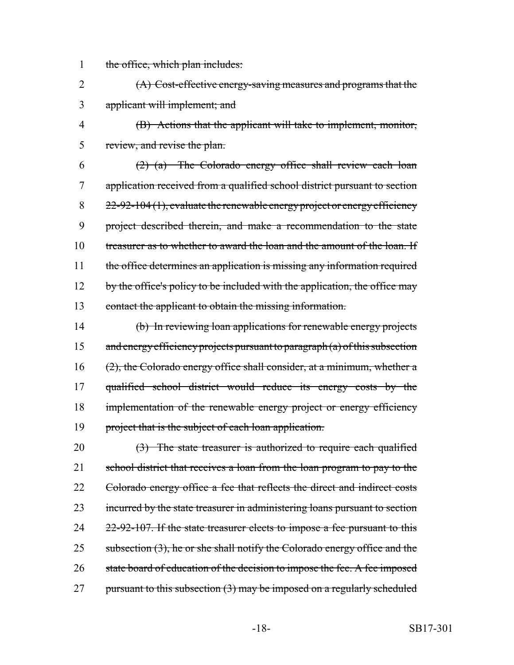1 the office, which plan includes:

2 (A) Cost-effective energy-saving measures and programs that the 3 applicant will implement; and

4 (B) Actions that the applicant will take to implement, monitor, 5 review, and revise the plan.

6  $(2)$  (a) The Colorado energy office shall review each loan 7 application received from a qualified school district pursuant to section 8  $22-92-104(1)$ , evaluate the renewable energy project or energy efficiency 9 project described therein, and make a recommendation to the state 10 treasurer as to whether to award the loan and the amount of the loan. If 11 the office determines an application is missing any information required 12 by the office's policy to be included with the application, the office may 13 contact the applicant to obtain the missing information.

14 (b) In reviewing loan applications for renewable energy projects 15 and energy efficiency projects pursuant to paragraph (a) of this subsection 16 (2), the Colorado energy office shall consider, at a minimum, whether a 17 qualified school district would reduce its energy costs by the 18 implementation of the renewable energy project or energy efficiency 19 project that is the subject of each loan application.

 $20 \qquad \qquad (3)$  The state treasurer is authorized to require each qualified 21 school district that receives a loan from the loan program to pay to the 22 Colorado energy office a fee that reflects the direct and indirect costs 23 incurred by the state treasurer in administering loans pursuant to section 24 22-92-107. If the state treasurer elects to impose a fee pursuant to this 25 subsection (3), he or she shall notify the Colorado energy office and the 26 state board of education of the decision to impose the fee. A fee imposed 27 pursuant to this subsection (3) may be imposed on a regularly scheduled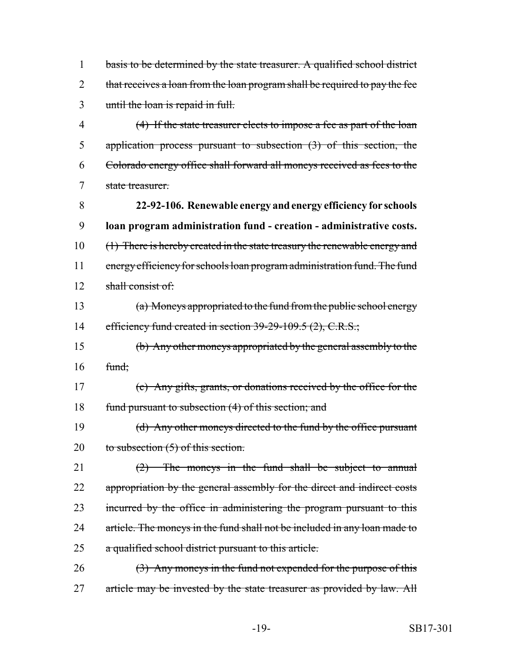1 basis to be determined by the state treasurer. A qualified school district 2 that receives a loan from the loan program shall be required to pay the fee 3 until the loan is repaid in full.

 (4) If the state treasurer elects to impose a fee as part of the loan application process pursuant to subsection (3) of this section, the Colorado energy office shall forward all moneys received as fees to the state treasurer.

8 **22-92-106. Renewable energy and energy efficiency for schools** 9 **loan program administration fund - creation - administrative costs.** 10 (1) There is hereby created in the state treasury the renewable energy and 11 energy efficiency for schools loan program administration fund. The fund 12 shall consist of

13 (a) Moneys appropriated to the fund from the public school energy 14 efficiency fund created in section 39-29-109.5 (2), C.R.S.;

15 (b) Any other moneys appropriated by the general assembly to the 16 fund;

17 (c) Any gifts, grants, or donations received by the office for the 18 fund pursuant to subsection (4) of this section; and

19 (d) Any other moneys directed to the fund by the office pursuant 20 to subsection (5) of this section.

21 (2) The moneys in the fund shall be subject to annual 22 appropriation by the general assembly for the direct and indirect costs 23 incurred by the office in administering the program pursuant to this 24 article. The moneys in the fund shall not be included in any loan made to 25 a qualified school district pursuant to this article.

 $26$  (3) Any moneys in the fund not expended for the purpose of this 27 article may be invested by the state treasurer as provided by law. All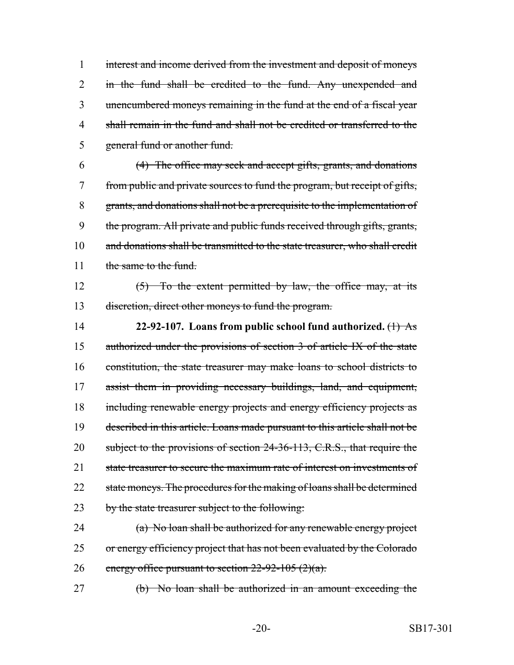interest and income derived from the investment and deposit of moneys 2 in the fund shall be credited to the fund. Any unexpended and unencumbered moneys remaining in the fund at the end of a fiscal year shall remain in the fund and shall not be credited or transferred to the general fund or another fund.

6 (4) The office may seek and accept gifts, grants, and donations 7 from public and private sources to fund the program, but receipt of gifts, 8 grants, and donations shall not be a prerequisite to the implementation of 9 the program. All private and public funds received through gifts, grants, 10 and donations shall be transmitted to the state treasurer, who shall credit 11 the same to the fund.

12  $(5)$  To the extent permitted by law, the office may, at its 13 discretion, direct other moneys to fund the program.

14 **22-92-107. Loans from public school fund authorized.** (1) As 15 authorized under the provisions of section 3 of article IX of the state 16 constitution, the state treasurer may make loans to school districts to 17 assist them in providing necessary buildings, land, and equipment, 18 including renewable energy projects and energy efficiency projects as 19 described in this article. Loans made pursuant to this article shall not be 20 subject to the provisions of section 24-36-113, C.R.S., that require the 21 state treasurer to secure the maximum rate of interest on investments of 22 state moneys. The procedures for the making of loans shall be determined 23 by the state treasurer subject to the following:

24 (a) No loan shall be authorized for any renewable energy project 25 or energy efficiency project that has not been evaluated by the Colorado 26 energy office pursuant to section  $22-92-105(2)(a)$ .

27 (b) No loan shall be authorized in an amount exceeding the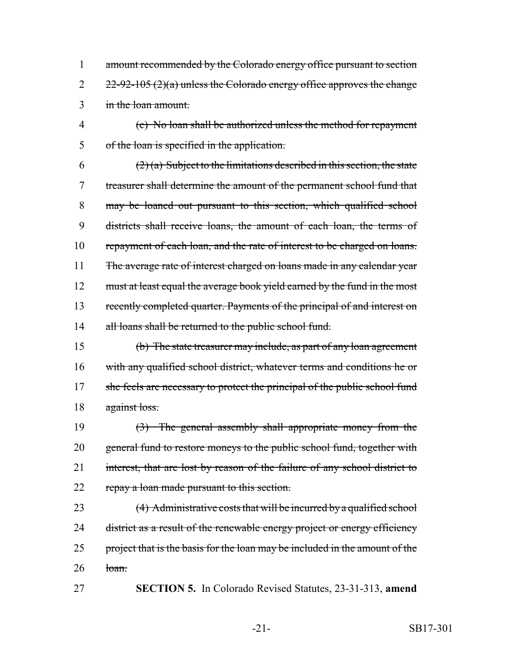1 amount recommended by the Colorado energy office pursuant to section 2  $22-92-105$  (2)(a) unless the Colorado energy office approves the change 3 in the loan amount.

4 (c) No loan shall be authorized unless the method for repayment 5 of the loan is specified in the application.

6 (2) (a) Subject to the limitations described in this section, the state 7 treasurer shall determine the amount of the permanent school fund that 8 may be loaned out pursuant to this section, which qualified school 9 districts shall receive loans, the amount of each loan, the terms of 10 repayment of each loan, and the rate of interest to be charged on loans. 11 The average rate of interest charged on loans made in any calendar year 12 must at least equal the average book yield earned by the fund in the most 13 recently completed quarter. Payments of the principal of and interest on 14 all loans shall be returned to the public school fund.

15 (b) The state treasurer may include, as part of any loan agreement 16 with any qualified school district, whatever terms and conditions he or 17 she feels are necessary to protect the principal of the public school fund 18 against loss.

19 (3) The general assembly shall appropriate money from the 20 general fund to restore moneys to the public school fund, together with 21 interest, that are lost by reason of the failure of any school district to 22 repay a loan made pursuant to this section.

23 (4) Administrative costs that will be incurred by a qualified school 24 district as a result of the renewable energy project or energy efficiency 25 project that is the basis for the loan may be included in the amount of the  $26$   $10a$ m.

27 **SECTION 5.** In Colorado Revised Statutes, 23-31-313, **amend**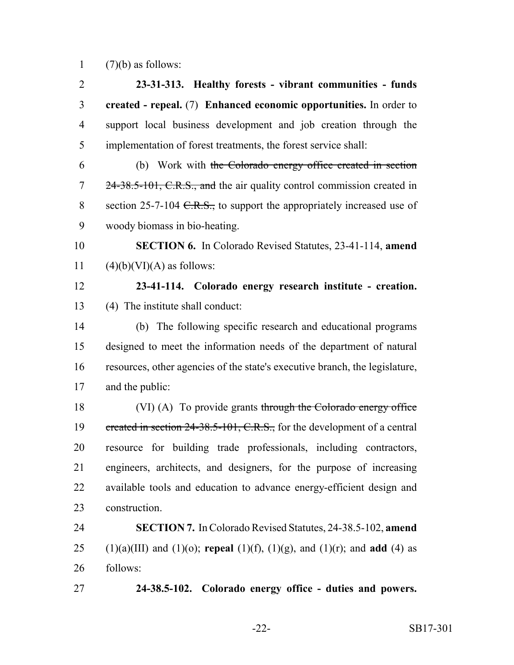1  $(7)(b)$  as follows:

| $\overline{2}$ | 23-31-313. Healthy forests - vibrant communities - funds                                  |
|----------------|-------------------------------------------------------------------------------------------|
| 3              | created - repeal. (7) Enhanced economic opportunities. In order to                        |
| $\overline{4}$ | support local business development and job creation through the                           |
| 5              | implementation of forest treatments, the forest service shall:                            |
| 6              | (b) Work with the Colorado energy office created in section                               |
| $\overline{7}$ | 24-38.5-101, C.R.S., and the air quality control commission created in                    |
| 8              | section 25-7-104 $C.R.S.,$ to support the appropriately increased use of                  |
| 9              | woody biomass in bio-heating.                                                             |
| 10             | <b>SECTION 6.</b> In Colorado Revised Statutes, 23-41-114, amend                          |
| 11             | $(4)(b)(VI)(A)$ as follows:                                                               |
| 12             | 23-41-114. Colorado energy research institute - creation.                                 |
| 13             | (4) The institute shall conduct:                                                          |
| 14             | (b) The following specific research and educational programs                              |
| 15             | designed to meet the information needs of the department of natural                       |
| 16             | resources, other agencies of the state's executive branch, the legislature,               |
| 17             | and the public:                                                                           |
| 18             | (VI) (A) To provide grants through the Colorado energy office                             |
| 19             | ereated in section 24-38.5-101, C.R.S., for the development of a central                  |
| 20             | resource for building trade professionals, including contractors,                         |
| 21             | engineers, architects, and designers, for the purpose of increasing                       |
| 22             | available tools and education to advance energy-efficient design and                      |
| 23             | construction.                                                                             |
| 24             | <b>SECTION 7.</b> In Colorado Revised Statutes, 24-38.5-102, amend                        |
| 25             | $(1)(a)(III)$ and $(1)(o)$ ; repeal $(1)(f)$ , $(1)(g)$ , and $(1)(r)$ ; and add $(4)$ as |
| 26             | follows:                                                                                  |
| 27             | 24-38.5-102. Colorado energy office - duties and powers.                                  |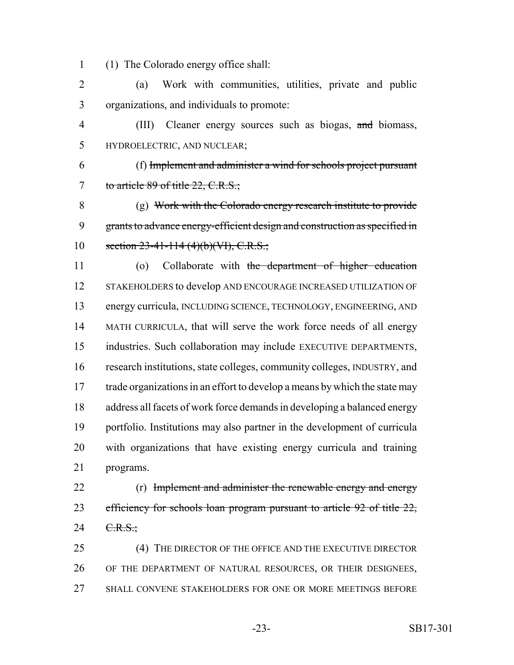(1) The Colorado energy office shall:

 (a) Work with communities, utilities, private and public organizations, and individuals to promote:

4 (III) Cleaner energy sources such as biogas, and biomass, HYDROELECTRIC, AND NUCLEAR;

 (f) Implement and administer a wind for schools project pursuant 7 to article 89 of title 22, C.R.S.;

 (g) Work with the Colorado energy research institute to provide grants to advance energy-efficient design and construction as specified in 10 section  $23-41-114$  (4)(b)(VI), C.R.S.;

 (o) Collaborate with the department of higher education STAKEHOLDERS to develop AND ENCOURAGE INCREASED UTILIZATION OF energy curricula, INCLUDING SCIENCE, TECHNOLOGY, ENGINEERING, AND MATH CURRICULA, that will serve the work force needs of all energy industries. Such collaboration may include EXECUTIVE DEPARTMENTS, research institutions, state colleges, community colleges, INDUSTRY, and 17 trade organizations in an effort to develop a means by which the state may address all facets of work force demands in developing a balanced energy portfolio. Institutions may also partner in the development of curricula with organizations that have existing energy curricula and training programs.

22 (r) Implement and administer the renewable energy and energy efficiency for schools loan program pursuant to article 92 of title 22,  $24 \t C.R.S.$ ;

25 (4) THE DIRECTOR OF THE OFFICE AND THE EXECUTIVE DIRECTOR OF THE DEPARTMENT OF NATURAL RESOURCES, OR THEIR DESIGNEES, SHALL CONVENE STAKEHOLDERS FOR ONE OR MORE MEETINGS BEFORE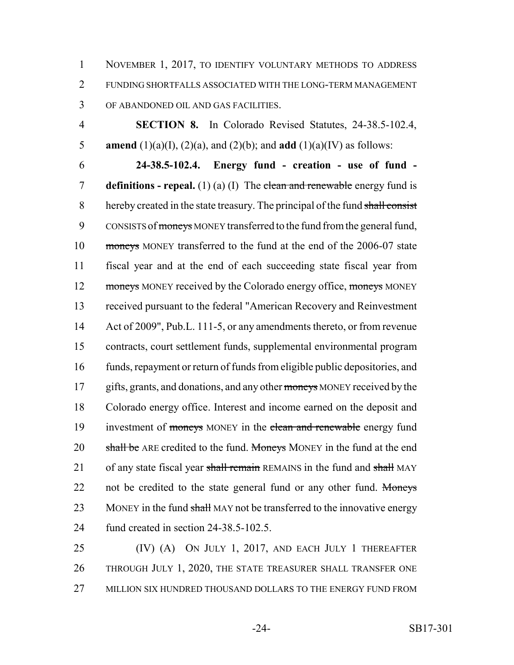NOVEMBER 1, 2017, TO IDENTIFY VOLUNTARY METHODS TO ADDRESS FUNDING SHORTFALLS ASSOCIATED WITH THE LONG-TERM MANAGEMENT OF ABANDONED OIL AND GAS FACILITIES.

 **SECTION 8.** In Colorado Revised Statutes, 24-38.5-102.4, 5 **amend** (1)(a)(I), (2)(a), and (2)(b); and **add** (1)(a)(IV) as follows:

 **24-38.5-102.4. Energy fund - creation - use of fund - definitions - repeal.** (1) (a) (I) The clean and renewable energy fund is 8 hereby created in the state treasury. The principal of the fund shall consist 9 CONSISTS of moneys MONEY transferred to the fund from the general fund, moneys MONEY transferred to the fund at the end of the 2006-07 state fiscal year and at the end of each succeeding state fiscal year from 12 moneys MONEY received by the Colorado energy office, moneys MONEY received pursuant to the federal "American Recovery and Reinvestment Act of 2009", Pub.L. 111-5, or any amendments thereto, or from revenue contracts, court settlement funds, supplemental environmental program funds, repayment or return of funds from eligible public depositories, and 17 gifts, grants, and donations, and any other moneys MONEY received by the Colorado energy office. Interest and income earned on the deposit and 19 investment of moneys MONEY in the clean and renewable energy fund 20 shall be ARE credited to the fund. Moneys MONEY in the fund at the end 21 of any state fiscal year shall remain REMAINS in the fund and shall MAY 22 not be credited to the state general fund or any other fund. Moneys 23 MONEY in the fund shall MAY not be transferred to the innovative energy fund created in section 24-38.5-102.5.

 (IV) (A) ON JULY 1, 2017, AND EACH JULY 1 THEREAFTER THROUGH JULY 1, 2020, THE STATE TREASURER SHALL TRANSFER ONE MILLION SIX HUNDRED THOUSAND DOLLARS TO THE ENERGY FUND FROM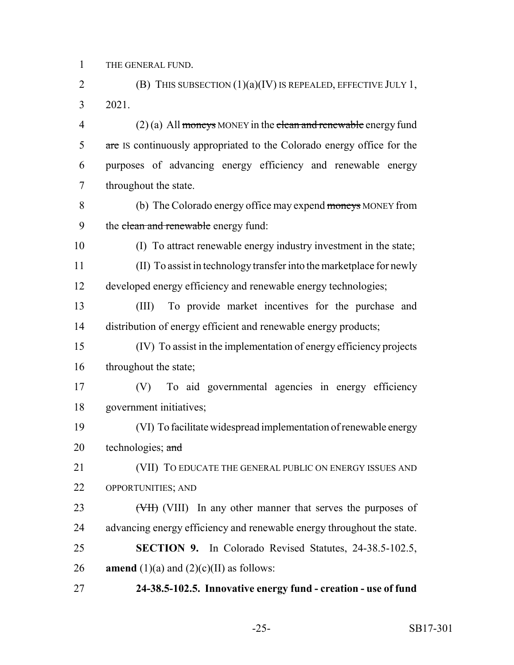THE GENERAL FUND.

2 (B) THIS SUBSECTION  $(1)(a)(IV)$  IS REPEALED, EFFECTIVE JULY 1, 2021.

 (2) (a) All moneys MONEY in the clean and renewable energy fund 5 are IS continuously appropriated to the Colorado energy office for the purposes of advancing energy efficiency and renewable energy throughout the state.

 (b) The Colorado energy office may expend moneys MONEY from 9 the clean and renewable energy fund:

(I) To attract renewable energy industry investment in the state;

 (II) To assist in technology transfer into the marketplace for newly developed energy efficiency and renewable energy technologies;

 (III) To provide market incentives for the purchase and distribution of energy efficient and renewable energy products;

 (IV) To assist in the implementation of energy efficiency projects 16 throughout the state;

 (V) To aid governmental agencies in energy efficiency government initiatives;

 (VI) To facilitate widespread implementation of renewable energy 20 technologies;  $\frac{and}{ }$ 

 (VII) TO EDUCATE THE GENERAL PUBLIC ON ENERGY ISSUES AND OPPORTUNITIES; AND

23 (VIII) In any other manner that serves the purposes of advancing energy efficiency and renewable energy throughout the state. **SECTION 9.** In Colorado Revised Statutes, 24-38.5-102.5,

**amend** (1)(a) and (2)(c)(II) as follows:

**24-38.5-102.5. Innovative energy fund - creation - use of fund**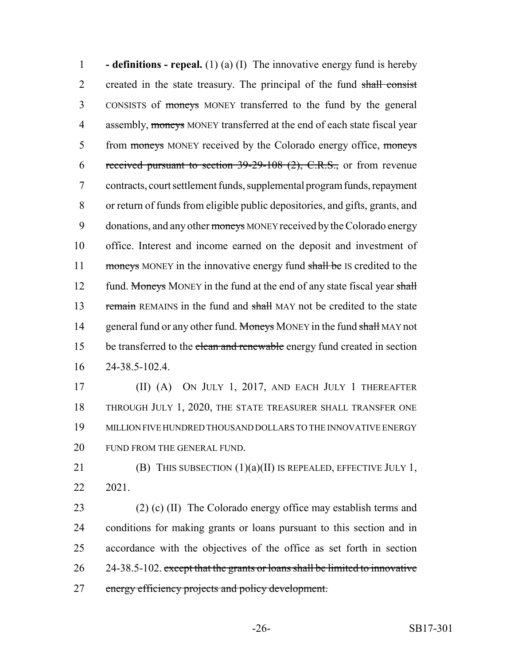1 **- definitions - repeal.** (1) (a) (I) The innovative energy fund is hereby 2 created in the state treasury. The principal of the fund shall consist 3 CONSISTS of moneys MONEY transferred to the fund by the general 4 assembly, moneys MONEY transferred at the end of each state fiscal year 5 from moneys MONEY received by the Colorado energy office, moneys 6 received pursuant to section  $39-29-108$  (2), C.R.S., or from revenue 7 contracts, court settlement funds, supplemental program funds, repayment 8 or return of funds from eligible public depositories, and gifts, grants, and 9 donations, and any other moneys MONEY received by the Colorado energy 10 office. Interest and income earned on the deposit and investment of 11 moneys MONEY in the innovative energy fund shall be IS credited to the 12 fund. Moneys MONEY in the fund at the end of any state fiscal year shall 13 remain REMAINS in the fund and shall MAY not be credited to the state 14 general fund or any other fund. Moneys MONEY in the fund shall MAY not 15 be transferred to the clean and renewable energy fund created in section 16 24-38.5-102.4.

 (II) (A) ON JULY 1, 2017, AND EACH JULY 1 THEREAFTER THROUGH JULY 1, 2020, THE STATE TREASURER SHALL TRANSFER ONE MILLION FIVE HUNDRED THOUSAND DOLLARS TO THE INNOVATIVE ENERGY 20 FUND FROM THE GENERAL FUND.

21 (B) THIS SUBSECTION  $(1)(a)(II)$  IS REPEALED, EFFECTIVE JULY 1, 22 2021.

 (2) (c) (II) The Colorado energy office may establish terms and conditions for making grants or loans pursuant to this section and in accordance with the objectives of the office as set forth in section 26 24-38.5-102. except that the grants or loans shall be limited to innovative energy efficiency projects and policy development.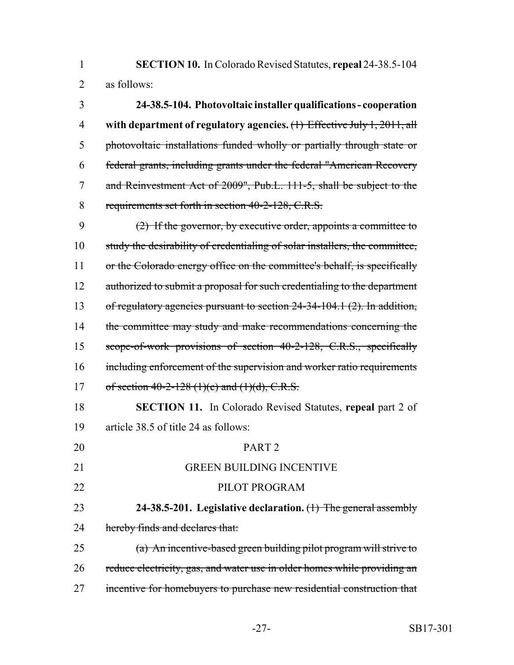**SECTION 10.** In Colorado Revised Statutes, **repeal** 24-38.5-104 as follows:

 **24-38.5-104. Photovoltaic installer qualifications - cooperation with department of regulatory agencies.** (1) Effective July 1, 2011, all photovoltaic installations funded wholly or partially through state or federal grants, including grants under the federal "American Recovery and Reinvestment Act of 2009", Pub.L. 111-5, shall be subject to the 8 requirements set forth in section 40-2-128, C.R.S.

 (2) If the governor, by executive order, appoints a committee to study the desirability of credentialing of solar installers, the committee, 11 or the Colorado energy office on the committee's behalf, is specifically 12 authorized to submit a proposal for such credentialing to the department 13 of regulatory agencies pursuant to section 24-34-104.1 (2). In addition, 14 the committee may study and make recommendations concerning the scope-of-work provisions of section 40-2-128, C.R.S., specifically 16 including enforcement of the supervision and worker ratio requirements 17 of section 40-2-128 (1)(c) and (1)(d), C.R.S.

 **SECTION 11.** In Colorado Revised Statutes, **repeal** part 2 of article 38.5 of title 24 as follows:

 PART 2 GREEN BUILDING INCENTIVE 22 PILOT PROGRAM **24-38.5-201. Legislative declaration.** (1) The general assembly 24 hereby finds and declares that: (a) An incentive-based green building pilot program will strive to 26 reduce electricity, gas, and water use in older homes while providing an incentive for homebuyers to purchase new residential construction that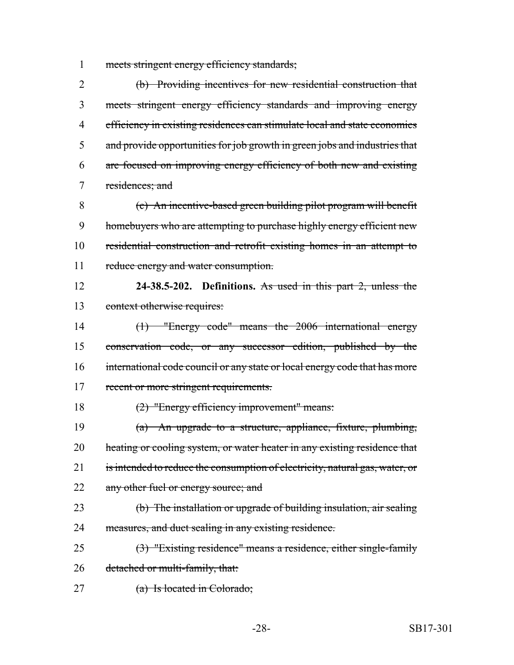1 meets stringent energy efficiency standards;

 (b) Providing incentives for new residential construction that meets stringent energy efficiency standards and improving energy efficiency in existing residences can stimulate local and state economies and provide opportunities for job growth in green jobs and industries that are focused on improving energy efficiency of both new and existing residences; and

 (c) An incentive-based green building pilot program will benefit homebuyers who are attempting to purchase highly energy efficient new residential construction and retrofit existing homes in an attempt to 11 reduce energy and water consumption.

 **24-38.5-202. Definitions.** As used in this part 2, unless the context otherwise requires:

 (1) "Energy code" means the 2006 international energy conservation code, or any successor edition, published by the international code council or any state or local energy code that has more 17 recent or more stringent requirements.

(2) "Energy efficiency improvement" means:

 (a) An upgrade to a structure, appliance, fixture, plumbing, 20 heating or cooling system, or water heater in any existing residence that 21 is intended to reduce the consumption of electricity, natural gas, water, or 22 any other fuel or energy source; and

 (b) The installation or upgrade of building insulation, air sealing 24 measures, and duct sealing in any existing residence.

 (3) "Existing residence" means a residence, either single-family 26 detached or multi-family, that:

27 (a) Is located in Colorado;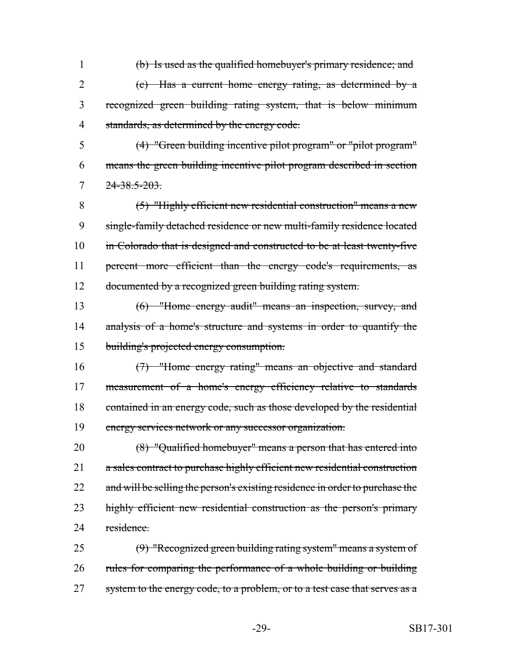(b) Is used as the qualified homebuyer's primary residence; and (c) Has a current home energy rating, as determined by a recognized green building rating system, that is below minimum standards, as determined by the energy code.

 (4) "Green building incentive pilot program" or "pilot program" means the green building incentive pilot program described in section  $7 \frac{24-38.5-203}{24}$ 

 (5) "Highly efficient new residential construction" means a new single-family detached residence or new multi-family residence located 10 in Colorado that is designed and constructed to be at least twenty-five percent more efficient than the energy code's requirements, as documented by a recognized green building rating system.

 (6) "Home energy audit" means an inspection, survey, and 14 analysis of a home's structure and systems in order to quantify the building's projected energy consumption.

 (7) "Home energy rating" means an objective and standard measurement of a home's energy efficiency relative to standards 18 contained in an energy code, such as those developed by the residential energy services network or any successor organization.

 (8) "Qualified homebuyer" means a person that has entered into 21 a sales contract to purchase highly efficient new residential construction 22 and will be selling the person's existing residence in order to purchase the 23 highly efficient new residential construction as the person's primary 24 residence

 (9) "Recognized green building rating system" means a system of 26 rules for comparing the performance of a whole building or building 27 system to the energy code, to a problem, or to a test case that serves as a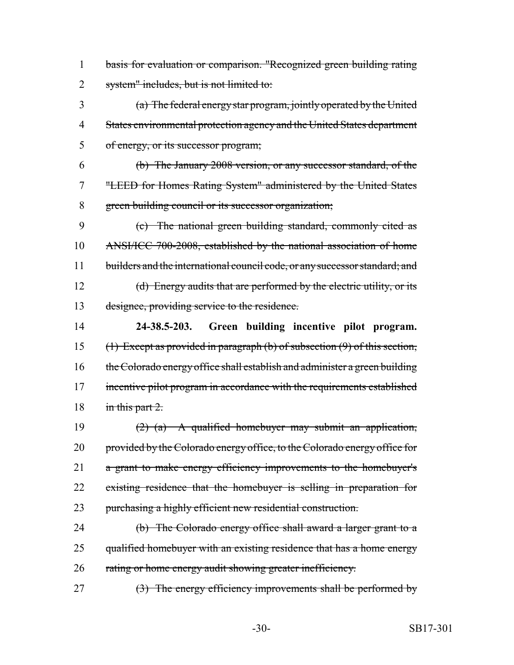basis for evaluation or comparison. "Recognized green building rating 2 system" includes, but is not limited to:

 (a) The federal energy star program, jointly operated by the United States environmental protection agency and the United States department of energy, or its successor program;

 (b) The January 2008 version, or any successor standard, of the "LEED for Homes Rating System" administered by the United States green building council or its successor organization;

 (c) The national green building standard, commonly cited as ANSI/ICC 700-2008, established by the national association of home 11 builders and the international council code, or any successor standard; and (d) Energy audits that are performed by the electric utility, or its designee, providing service to the residence.

 **24-38.5-203. Green building incentive pilot program.** (1) Except as provided in paragraph (b) of subsection (9) of this section, 16 the Colorado energy office shall establish and administer a green building 17 incentive pilot program in accordance with the requirements established 18 in this part .

 (2) (a) A qualified homebuyer may submit an application, 20 provided by the Colorado energy office, to the Colorado energy office for 21 a grant to make energy efficiency improvements to the homebuyer's existing residence that the homebuyer is selling in preparation for purchasing a highly efficient new residential construction.

 (b) The Colorado energy office shall award a larger grant to a 25 qualified homebuyer with an existing residence that has a home energy 26 rating or home energy audit showing greater inefficiency.

27 (3) The energy efficiency improvements shall be performed by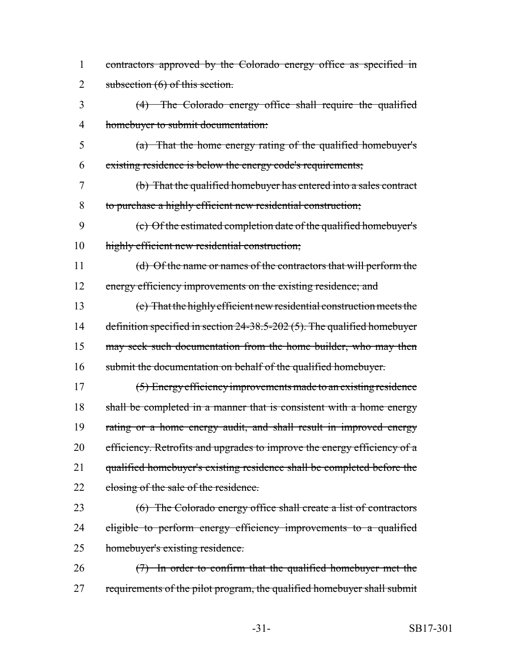- 1 contractors approved by the Colorado energy office as specified in 2 subsection (6) of this section.
- 3 (4) The Colorado energy office shall require the qualified 4 homebuyer to submit documentation:
- 5 (a) That the home energy rating of the qualified homebuyer's 6 existing residence is below the energy code's requirements;
- 7 (b) That the qualified homebuyer has entered into a sales contract 8 to purchase a highly efficient new residential construction;
- 9 (c) Of the estimated completion date of the qualified homebuyer's 10 highly efficient new residential construction;
- 11 (d) Of the name or names of the contractors that will perform the 12 energy efficiency improvements on the existing residence; and
- 13 (e) That the highly efficient new residential construction meets the 14 definition specified in section 24-38.5-202 (5). The qualified homebuyer 15 may seek such documentation from the home builder, who may then 16 submit the documentation on behalf of the qualified homebuyer.
- 17 (5) Energy efficiency improvements made to an existing residence 18 shall be completed in a manner that is consistent with a home energy 19 rating or a home energy audit, and shall result in improved energy 20 efficiency. Retrofits and upgrades to improve the energy efficiency of a 21 qualified homebuyer's existing residence shall be completed before the 22 closing of the sale of the residence.
- 23 (6) The Colorado energy office shall create a list of contractors 24 eligible to perform energy efficiency improvements to a qualified 25 homebuyer's existing residence.
- 26 (7) In order to confirm that the qualified homebuyer met the 27 requirements of the pilot program, the qualified homebuyer shall submit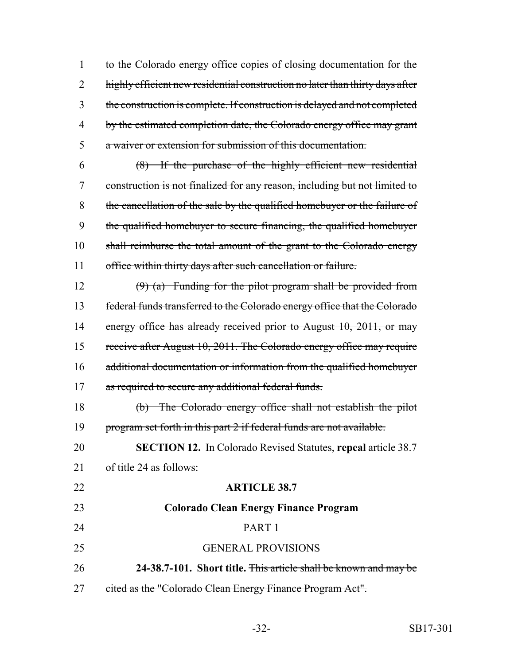to the Colorado energy office copies of closing documentation for the 2 highly efficient new residential construction no later than thirty days after the construction is complete. If construction is delayed and not completed by the estimated completion date, the Colorado energy office may grant a waiver or extension for submission of this documentation.

 (8) If the purchase of the highly efficient new residential construction is not finalized for any reason, including but not limited to the cancellation of the sale by the qualified homebuyer or the failure of the qualified homebuyer to secure financing, the qualified homebuyer shall reimburse the total amount of the grant to the Colorado energy 11 office within thirty days after such cancellation or failure.

 (9) (a) Funding for the pilot program shall be provided from federal funds transferred to the Colorado energy office that the Colorado 14 energy office has already received prior to August 10, 2011, or may 15 receive after August 10, 2011. The Colorado energy office may require additional documentation or information from the qualified homebuyer 17 as required to secure any additional federal funds.

 (b) The Colorado energy office shall not establish the pilot 19 program set forth in this part 2 if federal funds are not available.

 **SECTION 12.** In Colorado Revised Statutes, **repeal** article 38.7 of title 24 as follows:

 **ARTICLE 38.7 Colorado Clean Energy Finance Program** PART 1 GENERAL PROVISIONS **24-38.7-101. Short title.** This article shall be known and may be 27 cited as the "Colorado Clean Energy Finance Program Act".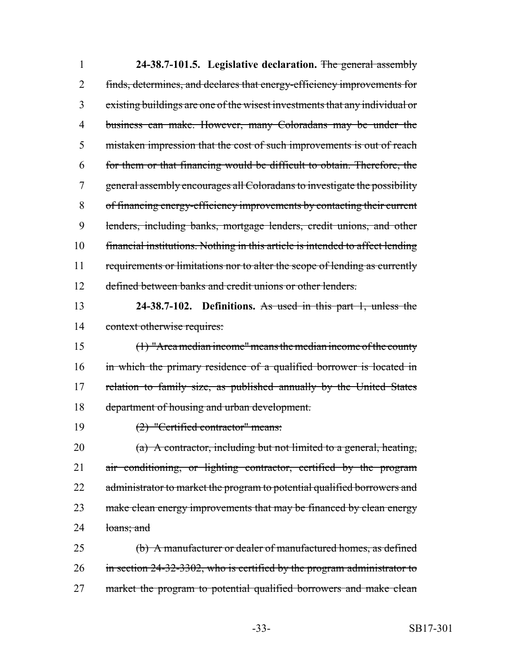| $\mathbf{1}$ | 24-38.7-101.5. Legislative declaration. The general assembly                  |
|--------------|-------------------------------------------------------------------------------|
| 2            | finds, determines, and declares that energy-efficiency improvements for       |
| 3            | existing buildings are one of the wisest investments that any individual or   |
| 4            | business can make. However, many Coloradans may be under the                  |
| 5            | mistaken impression that the cost of such improvements is out of reach        |
| 6            | for them or that financing would be difficult to obtain. Therefore, the       |
| 7            | general assembly encourages all Coloradans to investigate the possibility     |
| 8            | of financing energy-efficiency improvements by contacting their current       |
| 9            | lenders, including banks, mortgage lenders, credit unions, and other          |
| 10           | financial institutions. Nothing in this article is intended to affect lending |
| 11           | requirements or limitations nor to alter the scope of lending as currently    |
| 12           | defined between banks and credit unions or other lenders.                     |
| 13           | 24-38.7-102. Definitions. As used in this part 1, unless the                  |
| 14           | context otherwise requires:                                                   |
| 15           | $(1)$ "Area median income" means the median income of the county              |
| 16           | in which the primary residence of a qualified borrower is located in          |
| 17           | relation to family size, as published annually by the United States           |
| 18           | department of housing and urban development.                                  |
| 19           | (2) "Certified contractor" means:                                             |
| 20           | (a) A contractor, including but not limited to a general, heating,            |
| 21           | air conditioning, or lighting contractor, certified by the program            |
| 22           | administrator to market the program to potential qualified borrowers and      |
| 23           | make clean energy improvements that may be financed by clean energy           |
| 24           | loans; and                                                                    |
| 25           | (b) A manufacturer or dealer of manufactured homes, as defined                |
| 26           | in section 24-32-3302, who is certified by the program administrator to       |
| 27           | market the program to potential qualified borrowers and make clean            |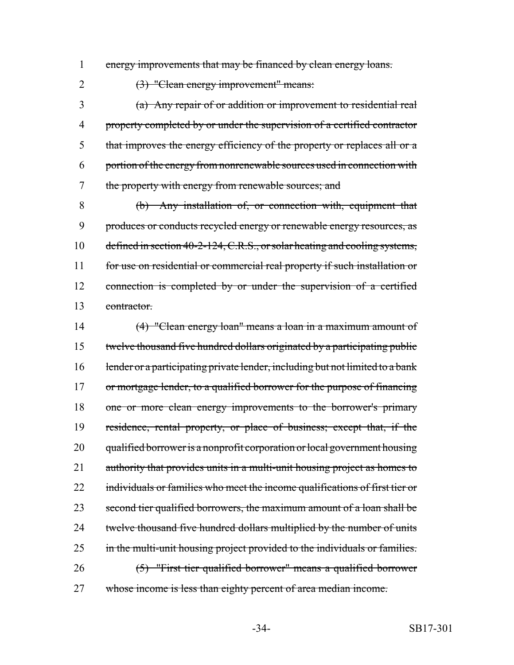1 energy improvements that may be financed by clean energy loans.

2 (3) "Clean energy improvement" means:

 (a) Any repair of or addition or improvement to residential real property completed by or under the supervision of a certified contractor that improves the energy efficiency of the property or replaces all or a portion of the energy from nonrenewable sources used in connection with the property with energy from renewable sources; and

 (b) Any installation of, or connection with, equipment that produces or conducts recycled energy or renewable energy resources, as 10 defined in section 40-2-124, C.R.S., or solar heating and cooling systems, for use on residential or commercial real property if such installation or 12 connection is completed by or under the supervision of a certified contractor.

14 (4) "Clean energy loan" means a loan in a maximum amount of 15 twelve thousand five hundred dollars originated by a participating public 16 lender or a participating private lender, including but not limited to a bank 17 or mortgage lender, to a qualified borrower for the purpose of financing 18 one or more clean energy improvements to the borrower's primary 19 residence, rental property, or place of business; except that, if the 20 qualified borrower is a nonprofit corporation or local government housing 21 authority that provides units in a multi-unit housing project as homes to 22 individuals or families who meet the income qualifications of first tier or 23 second tier qualified borrowers, the maximum amount of a loan shall be 24 twelve thousand five hundred dollars multiplied by the number of units 25 in the multi-unit housing project provided to the individuals or families. 26 (5) "First tier qualified borrower" means a qualified borrower 27 whose income is less than eighty percent of area median income.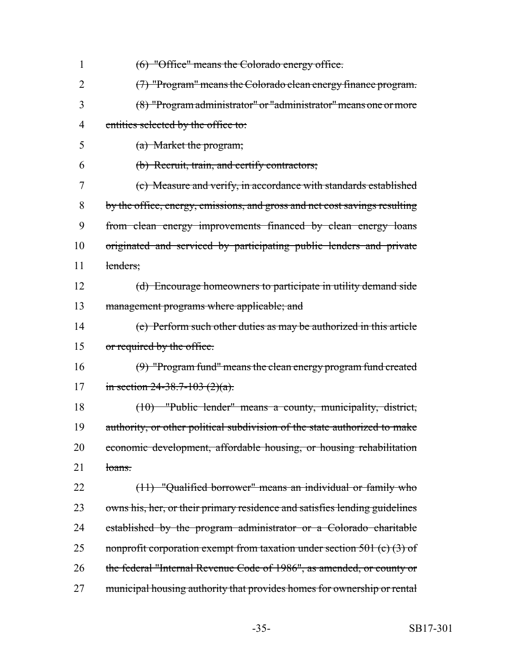| 1              | (6) "Office" means the Colorado energy office.                             |
|----------------|----------------------------------------------------------------------------|
| $\overline{2}$ | (7) "Program" means the Colorado clean energy finance program.             |
| 3              | (8) "Program administrator" or "administrator" means one or more           |
| 4              | entities selected by the office to:                                        |
| 5              | (a) Market the program;                                                    |
| 6              | (b) Recruit, train, and certify contractors;                               |
| 7              | (c) Measure and verify, in accordance with standards established           |
| 8              | by the office, energy, emissions, and gross and net cost savings resulting |
| 9              | from clean energy improvements financed by clean energy loans              |
| 10             | originated and serviced by participating public lenders and private        |
| 11             | lenders:                                                                   |
| 12             | (d) Encourage homeowners to participate in utility demand side             |
| 13             | management programs where applicable; and                                  |
| 14             | (e) Perform such other duties as may be authorized in this article         |
| 15             | or required by the office.                                                 |
| 16             | (9) "Program fund" means the clean energy program fund created             |
| 17             | in section 24-38.7-103 $(2)(a)$ .                                          |
| 18             | $(10)$ "Public lender" means a county, municipality, district,             |
| 19             | authority, or other political subdivision of the state authorized to make  |
| 20             | economic development, affordable housing, or housing rehabilitation        |
| 21             | loans.                                                                     |
| 22             | (11) "Qualified borrower" means an individual or family who                |
| 23             | owns his, her, or their primary residence and satisfies lending guidelines |
| 24             | established by the program administrator or a Colorado charitable          |
| 25             | nonprofit corporation exempt from taxation under section 501 (c) $(3)$ of  |
| 26             | the federal "Internal Revenue Code of 1986", as amended, or county or      |
| 27             | municipal housing authority that provides homes for ownership or rental    |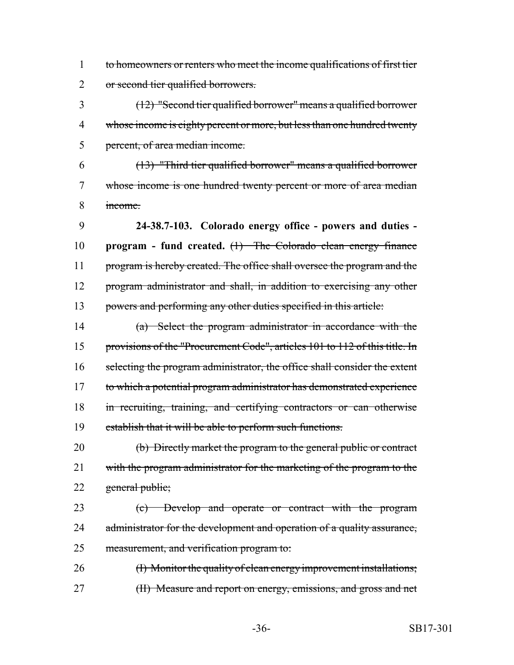to homeowners or renters who meet the income qualifications of first tier or second tier qualified borrowers.

 (12) "Second tier qualified borrower" means a qualified borrower 4 whose income is eighty percent or more, but less than one hundred twenty percent, of area median income.

 (13) "Third tier qualified borrower" means a qualified borrower whose income is one hundred twenty percent or more of area median income.

 **24-38.7-103. Colorado energy office - powers and duties - program - fund created.** (1) The Colorado clean energy finance 11 program is hereby created. The office shall oversee the program and the program administrator and shall, in addition to exercising any other powers and performing any other duties specified in this article:

 (a) Select the program administrator in accordance with the provisions of the "Procurement Code", articles 101 to 112 of this title. In selecting the program administrator, the office shall consider the extent to which a potential program administrator has demonstrated experience in recruiting, training, and certifying contractors or can otherwise establish that it will be able to perform such functions.

 (b) Directly market the program to the general public or contract 21 with the program administrator for the marketing of the program to the 22 general public;

 (c) Develop and operate or contract with the program 24 administrator for the development and operation of a quality assurance, measurement, and verification program to:

26 (I) Monitor the quality of clean energy improvement installations; 27 (II) Measure and report on energy, emissions, and gross and net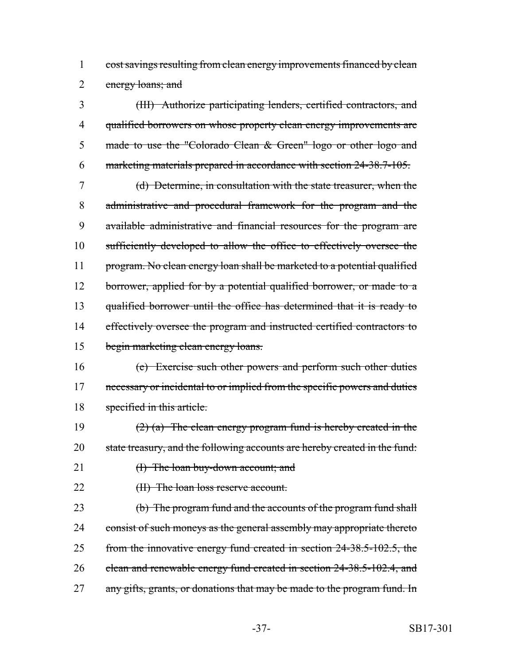1 cost savings resulting from clean energy improvements financed by clean 2 energy loans; and

 (III) Authorize participating lenders, certified contractors, and 4 qualified borrowers on whose property clean energy improvements are made to use the "Colorado Clean & Green" logo or other logo and marketing materials prepared in accordance with section 24-38.7-105.

 (d) Determine, in consultation with the state treasurer, when the administrative and procedural framework for the program and the available administrative and financial resources for the program are sufficiently developed to allow the office to effectively oversee the program. No clean energy loan shall be marketed to a potential qualified 12 borrower, applied for by a potential qualified borrower, or made to a qualified borrower until the office has determined that it is ready to 14 effectively oversee the program and instructed certified contractors to 15 begin marketing clean energy loans.

- 16 (e) Exercise such other powers and perform such other duties 17 necessary or incidental to or implied from the specific powers and duties 18 specified in this article.
- 19  $(2)$  (a) The clean energy program fund is hereby created in the 20 state treasury, and the following accounts are hereby created in the fund:
- 21 (I) The loan buy-down account; and
- 

22 (II) The loan loss reserve account.

23 (b) The program fund and the accounts of the program fund shall 24 consist of such moneys as the general assembly may appropriate thereto 25 from the innovative energy fund created in section 24-38.5-102.5, the 26 clean and renewable energy fund created in section 24-38.5-102.4, and 27 any gifts, grants, or donations that may be made to the program fund. In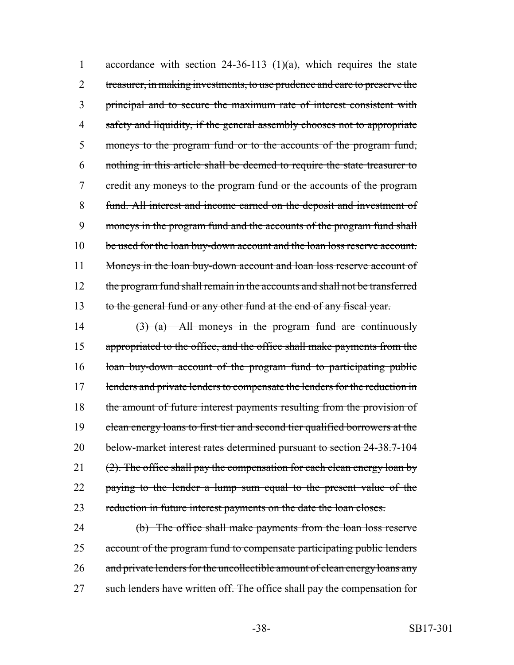1 accordance with section  $24-36-113$  (1)(a), which requires the state 2 treasurer, in making investments, to use prudence and care to preserve the 3 principal and to secure the maximum rate of interest consistent with 4 safety and liquidity, if the general assembly chooses not to appropriate 5 moneys to the program fund or to the accounts of the program fund, 6 nothing in this article shall be deemed to require the state treasurer to 7 credit any moneys to the program fund or the accounts of the program 8 fund. All interest and income earned on the deposit and investment of 9 moneys in the program fund and the accounts of the program fund shall 10 be used for the loan buy-down account and the loan loss reserve account. 11 Moneys in the loan buy-down account and loan loss reserve account of 12 the program fund shall remain in the accounts and shall not be transferred 13 to the general fund or any other fund at the end of any fiscal year.

14  $(3)$  (a) All moneys in the program fund are continuously 15 appropriated to the office, and the office shall make payments from the 16 loan buy-down account of the program fund to participating public 17 lenders and private lenders to compensate the lenders for the reduction in 18 the amount of future interest payments resulting from the provision of 19 clean energy loans to first tier and second tier qualified borrowers at the 20 below-market interest rates determined pursuant to section 24-38.7-104 21  $(2)$ . The office shall pay the compensation for each clean energy loan by 22 paying to the lender a lump sum equal to the present value of the 23 reduction in future interest payments on the date the loan closes.

24 (b) The office shall make payments from the loan loss reserve 25 account of the program fund to compensate participating public lenders 26 and private lenders for the uncollectible amount of clean energy loans any 27 such lenders have written off. The office shall pay the compensation for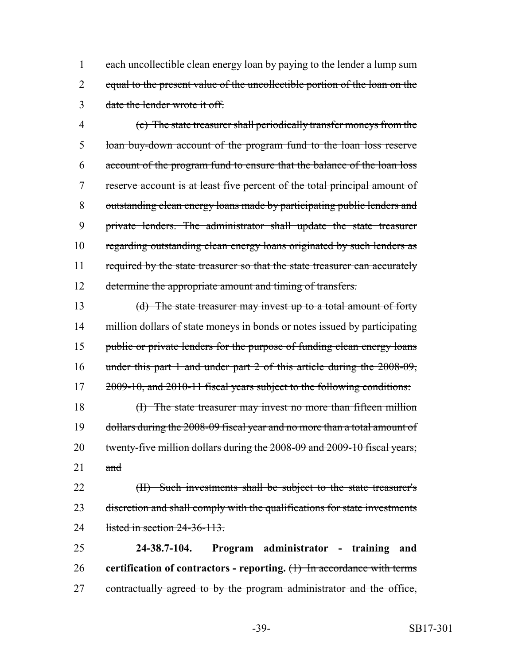1 each uncollectible clean energy loan by paying to the lender a lump sum 2 equal to the present value of the uncollectible portion of the loan on the 3 date the lender wrote it off.

 (c) The state treasurer shall periodically transfer moneys from the loan buy-down account of the program fund to the loan loss reserve account of the program fund to ensure that the balance of the loan loss reserve account is at least five percent of the total principal amount of outstanding clean energy loans made by participating public lenders and private lenders. The administrator shall update the state treasurer regarding outstanding clean energy loans originated by such lenders as 11 required by the state treasurer so that the state treasurer can accurately 12 determine the appropriate amount and timing of transfers.

13 (d) The state treasurer may invest up to a total amount of forty 14 million dollars of state moneys in bonds or notes issued by participating 15 public or private lenders for the purpose of funding clean energy loans 16 under this part 1 and under part 2 of this article during the 2008-09, 17 2009-10, and 2010-11 fiscal years subject to the following conditions:

18 (I) The state treasurer may invest no more than fifteen million 19 dollars during the 2008-09 fiscal year and no more than a total amount of 20 twenty-five million dollars during the 2008-09 and 2009-10 fiscal years;  $21$  and

22 (II) Such investments shall be subject to the state treasurer's 23 discretion and shall comply with the qualifications for state investments 24 listed in section 24-36-113.

25 **24-38.7-104. Program administrator - training and** 26 **certification of contractors - reporting.** (1) In accordance with terms 27 contractually agreed to by the program administrator and the office,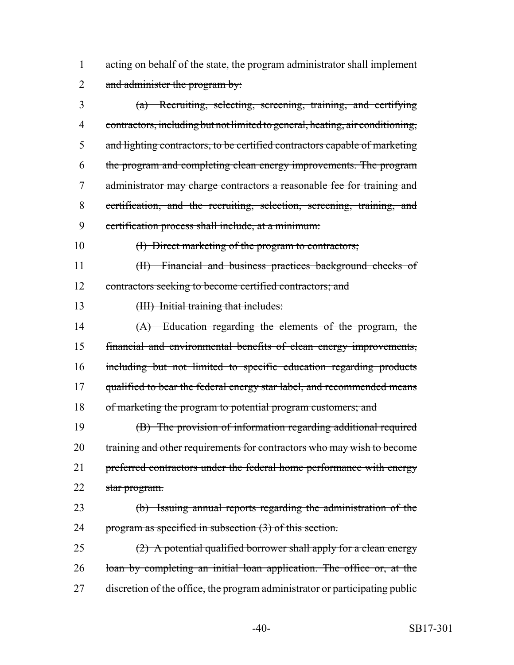1 acting on behalf of the state, the program administrator shall implement 2 and administer the program by:

 (a) Recruiting, selecting, screening, training, and certifying contractors, including but not limited to general, heating, air conditioning, and lighting contractors, to be certified contractors capable of marketing the program and completing clean energy improvements. The program administrator may charge contractors a reasonable fee for training and certification, and the recruiting, selection, screening, training, and certification process shall include, at a minimum:

10 (I) Direct marketing of the program to contractors;

11 (II) Financial and business practices background checks of 12 contractors seeking to become certified contractors; and

13 (III) Initial training that includes:

14 (A) Education regarding the elements of the program, the 15 financial and environmental benefits of clean energy improvements, 16 including but not limited to specific education regarding products 17 qualified to bear the federal energy star label, and recommended means 18 of marketing the program to potential program customers; and

19 (B) The provision of information regarding additional required 20 training and other requirements for contractors who may wish to become 21 preferred contractors under the federal home performance with energy 22 star program.

23 (b) Issuing annual reports regarding the administration of the 24 program as specified in subsection (3) of this section.

25  $(2)$  A potential qualified borrower shall apply for a clean energy 26 loan by completing an initial loan application. The office or, at the 27 discretion of the office, the program administrator or participating public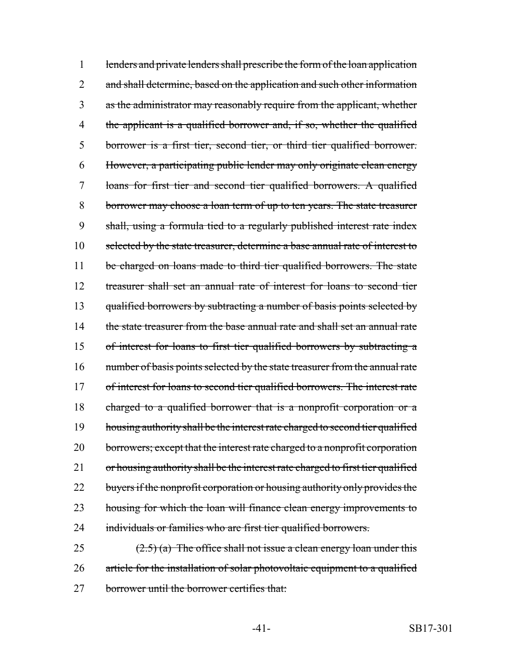1 lenders and private lenders shall prescribe the form of the loan application 2 and shall determine, based on the application and such other information as the administrator may reasonably require from the applicant, whether 4 the applicant is a qualified borrower and, if so, whether the qualified borrower is a first tier, second tier, or third tier qualified borrower. However, a participating public lender may only originate clean energy loans for first tier and second tier qualified borrowers. A qualified borrower may choose a loan term of up to ten years. The state treasurer shall, using a formula tied to a regularly published interest rate index selected by the state treasurer, determine a base annual rate of interest to 11 be charged on loans made to third tier qualified borrowers. The state treasurer shall set an annual rate of interest for loans to second tier 13 qualified borrowers by subtracting a number of basis points selected by 14 the state treasurer from the base annual rate and shall set an annual rate of interest for loans to first tier qualified borrowers by subtracting a number of basis points selected by the state treasurer from the annual rate of interest for loans to second tier qualified borrowers. The interest rate charged to a qualified borrower that is a nonprofit corporation or a housing authority shall be the interest rate charged to second tier qualified 20 borrowers; except that the interest rate charged to a nonprofit corporation 21 or housing authority shall be the interest rate charged to first tier qualified 22 buyers if the nonprofit corporation or housing authority only provides the housing for which the loan will finance clean energy improvements to individuals or families who are first tier qualified borrowers.

25  $(2.5)$  (a) The office shall not issue a clean energy loan under this 26 article for the installation of solar photovoltaic equipment to a qualified 27 borrower until the borrower certifies that: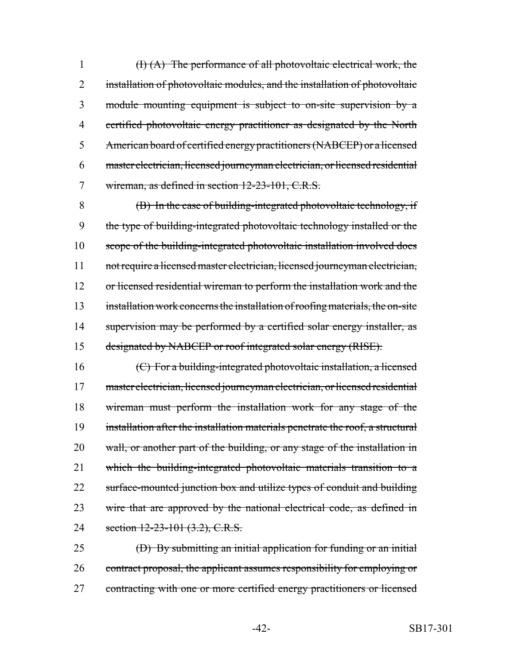$(H)(A)$  The performance of all photovoltaic electrical work, the 2 installation of photovoltaic modules, and the installation of photovoltaic module mounting equipment is subject to on-site supervision by a certified photovoltaic energy practitioner as designated by the North American board of certified energy practitioners (NABCEP) or a licensed master electrician, licensed journeyman electrician, or licensed residential wireman, as defined in section 12-23-101, C.R.S.

 (B) In the case of building-integrated photovoltaic technology, if the type of building-integrated photovoltaic technology installed or the scope of the building-integrated photovoltaic installation involved does not require a licensed master electrician, licensed journeyman electrician, 12 or licensed residential wireman to perform the installation work and the installation work concerns the installation of roofing materials, the on-site 14 supervision may be performed by a certified solar energy installer, as designated by NABCEP or roof integrated solar energy (RISE).

 (C) For a building-integrated photovoltaic installation, a licensed master electrician, licensed journeyman electrician, or licensed residential wireman must perform the installation work for any stage of the installation after the installation materials penetrate the roof, a structural 20 wall, or another part of the building, or any stage of the installation in which the building-integrated photovoltaic materials transition to a 22 surface-mounted junction box and utilize types of conduit and building 23 wire that are approved by the national electrical code, as defined in 24 section 12-23-101 (3.2), C.R.S.

 (D) By submitting an initial application for funding or an initial contract proposal, the applicant assumes responsibility for employing or contracting with one or more certified energy practitioners or licensed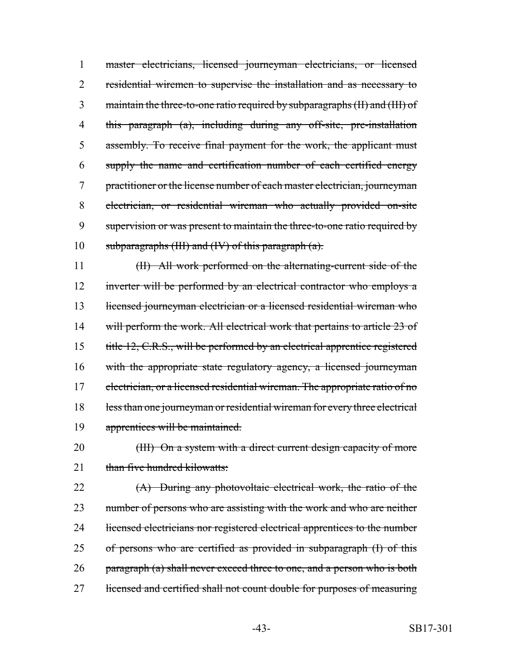master electricians, licensed journeyman electricians, or licensed residential wiremen to supervise the installation and as necessary to maintain the three-to-one ratio required by subparagraphs (II) and (III) of this paragraph (a), including during any off-site, pre-installation assembly. To receive final payment for the work, the applicant must supply the name and certification number of each certified energy practitioner or the license number of each master electrician, journeyman electrician, or residential wireman who actually provided on-site 9 supervision or was present to maintain the three-to-one ratio required by 10 subparagraphs (III) and (IV) of this paragraph  $(a)$ .

11 (II) All work performed on the alternating-current side of the 12 inverter will be performed by an electrical contractor who employs a 13 licensed journeyman electrician or a licensed residential wireman who 14 will perform the work. All electrical work that pertains to article 23 of 15 title 12, C.R.S., will be performed by an electrical apprentice registered 16 with the appropriate state regulatory agency, a licensed journeyman 17 electrician, or a licensed residential wireman. The appropriate ratio of no 18 less than one journeyman or residential wireman for every three electrical 19 apprentices will be maintained.

20 (III) On a system with a direct current design capacity of more 21 than five hundred kilowatts:

22 (A) During any photovoltaic electrical work, the ratio of the 23 number of persons who are assisting with the work and who are neither 24 licensed electricians nor registered electrical apprentices to the number 25 of persons who are certified as provided in subparagraph (I) of this 26 paragraph (a) shall never exceed three to one, and a person who is both 27 licensed and certified shall not count double for purposes of measuring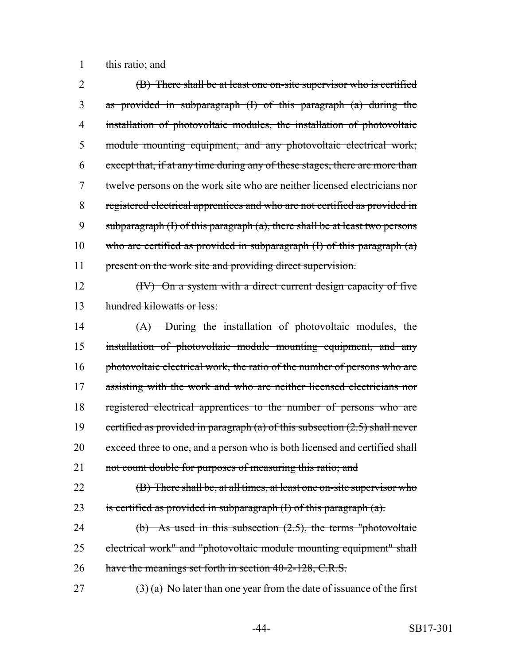1 this ratio; and

 (B) There shall be at least one on-site supervisor who is certified as provided in subparagraph (I) of this paragraph (a) during the installation of photovoltaic modules, the installation of photovoltaic module mounting equipment, and any photovoltaic electrical work; except that, if at any time during any of these stages, there are more than twelve persons on the work site who are neither licensed electricians nor registered electrical apprentices and who are not certified as provided in 9 subparagraph  $(I)$  of this paragraph  $(a)$ , there shall be at least two persons 10 who are certified as provided in subparagraph  $(I)$  of this paragraph  $(a)$ 11 present on the work site and providing direct supervision.

12 (IV) On a system with a direct current design capacity of five 13 hundred kilowatts or less:

14 (A) During the installation of photovoltaic modules, the 15 installation of photovoltaic module mounting equipment, and any 16 photovoltaic electrical work, the ratio of the number of persons who are 17 assisting with the work and who are neither licensed electricians nor 18 registered electrical apprentices to the number of persons who are 19 certified as provided in paragraph (a) of this subsection  $(2.5)$  shall never 20 exceed three to one, and a person who is both licensed and certified shall 21 not count double for purposes of measuring this ratio; and

22 **(B)** There shall be, at all times, at least one on-site supervisor who 23 is certified as provided in subparagraph  $(I)$  of this paragraph  $(a)$ .

24 (b) As used in this subsection (2.5), the terms "photovoltaic 25 electrical work" and "photovoltaic module mounting equipment" shall 26 have the meanings set forth in section 40-2-128, C.R.S.

27  $(3)$  (a) No later than one year from the date of issuance of the first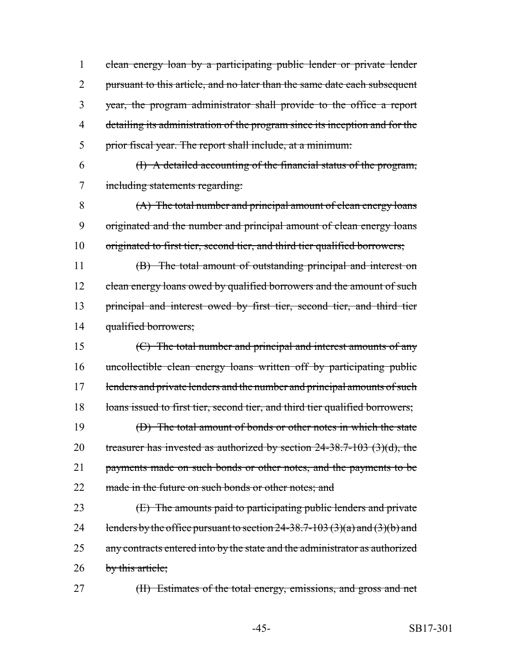clean energy loan by a participating public lender or private lender 2 pursuant to this article, and no later than the same date each subsequent year, the program administrator shall provide to the office a report detailing its administration of the program since its inception and for the prior fiscal year. The report shall include, at a minimum:

6 (I) A detailed accounting of the financial status of the program, 7 including statements regarding:

8 (A) The total number and principal amount of clean energy loans 9 originated and the number and principal amount of clean energy loans 10 originated to first tier, second tier, and third tier qualified borrowers;

11 (B) The total amount of outstanding principal and interest on 12 clean energy loans owed by qualified borrowers and the amount of such 13 principal and interest owed by first tier, second tier, and third tier 14 qualified borrowers;

15 (C) The total number and principal and interest amounts of any 16 uncollectible clean energy loans written off by participating public 17 lenders and private lenders and the number and principal amounts of such 18 loans issued to first tier, second tier, and third tier qualified borrowers; 19 (D) The total amount of bonds or other notes in which the state 20 treasurer has invested as authorized by section  $24-38.7-103$  (3)(d), the 21 payments made on such bonds or other notes, and the payments to be 22 made in the future on such bonds or other notes; and

23 **(E)** The amounts paid to participating public lenders and private 24 lenders by the office pursuant to section  $24-38.7-103(3)(a)$  and  $(3)(b)$  and 25 any contracts entered into by the state and the administrator as authorized 26 by this article;

27 (II) Estimates of the total energy, emissions, and gross and net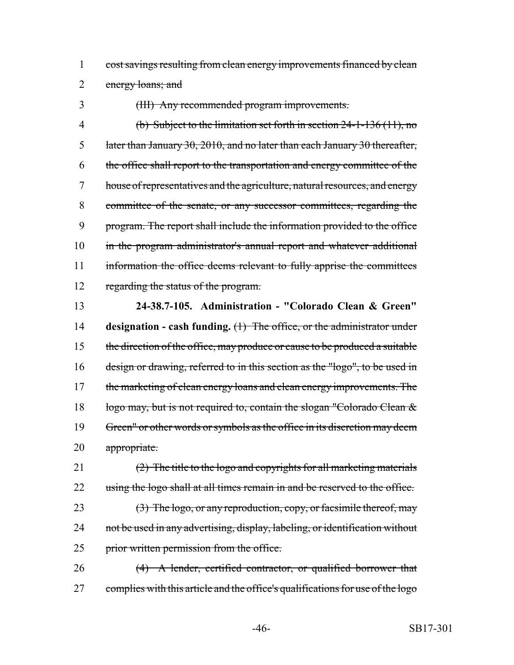cost savings resulting from clean energy improvements financed by clean energy loans; and

(III) Any recommended program improvements.

 (b) Subject to the limitation set forth in section 24-1-136 (11), no later than January 30, 2010, and no later than each January 30 thereafter, the office shall report to the transportation and energy committee of the house of representatives and the agriculture, natural resources, and energy committee of the senate, or any successor committees, regarding the program. The report shall include the information provided to the office 10 in the program administrator's annual report and whatever additional 11 information the office deems relevant to fully apprise the committees regarding the status of the program.

 **24-38.7-105. Administration - "Colorado Clean & Green" designation - cash funding.** (1) The office, or the administrator under 15 the direction of the office, may produce or cause to be produced a suitable design or drawing, referred to in this section as the "logo", to be used in 17 the marketing of clean energy loans and clean energy improvements. The 18 logo may, but is not required to, contain the slogan "Colorado Clean & Green" or other words or symbols as the office in its discretion may deem appropriate.

 (2) The title to the logo and copyrights for all marketing materials 22 using the logo shall at all times remain in and be reserved to the office.

23 (3) The logo, or any reproduction, copy, or facsimile thereof, may 24 not be used in any advertising, display, labeling, or identification without 25 prior written permission from the office.

 (4) A lender, certified contractor, or qualified borrower that 27 complies with this article and the office's qualifications for use of the logo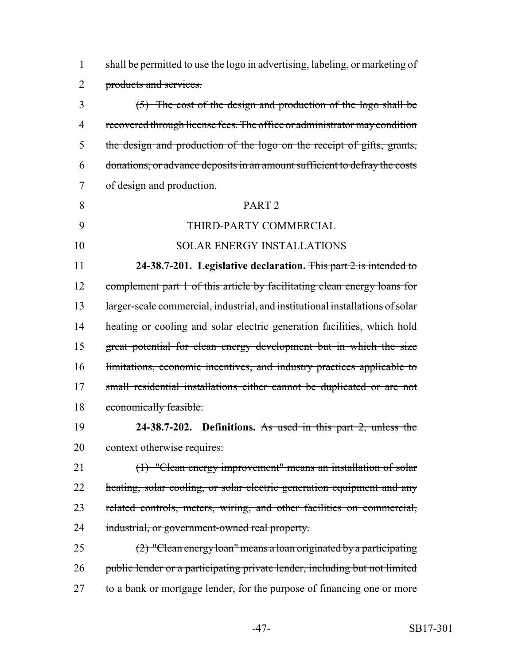shall be permitted to use the logo in advertising, labeling, or marketing of products and services.

 (5) The cost of the design and production of the logo shall be recovered through license fees. The office or administrator may condition the design and production of the logo on the receipt of gifts, grants, donations, or advance deposits in an amount sufficient to defray the costs of design and production.

## 8 PART 2

THIRD-PARTY COMMERCIAL

# SOLAR ENERGY INSTALLATIONS

 **24-38.7-201. Legislative declaration.** This part 2 is intended to complement part 1 of this article by facilitating clean energy loans for 13 larger-scale commercial, industrial, and institutional installations of solar 14 heating or cooling and solar electric generation facilities, which hold great potential for clean energy development but in which the size 16 limitations, economic incentives, and industry practices applicable to 17 small residential installations either cannot be duplicated or are not 18 economically feasible.

 **24-38.7-202. Definitions.** As used in this part 2, unless the 20 context otherwise requires:

 (1) "Clean energy improvement" means an installation of solar 22 heating, solar cooling, or solar electric generation equipment and any related controls, meters, wiring, and other facilities on commercial, 24 industrial, or government-owned real property.

 (2) "Clean energy loan" means a loan originated by a participating public lender or a participating private lender, including but not limited 27 to a bank or mortgage lender, for the purpose of financing one or more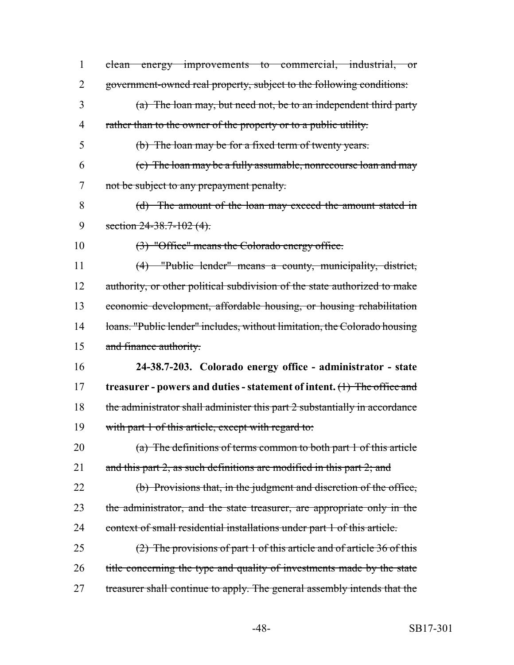| 1              | clean energy improvements to commercial, industrial, or                    |
|----------------|----------------------------------------------------------------------------|
| 2              | government-owned real property, subject to the following conditions:       |
| 3              | $(a)$ The loan may, but need not, be to an independent third party         |
| $\overline{4}$ | rather than to the owner of the property or to a public utility.           |
| 5              | (b) The loan may be for a fixed term of twenty years.                      |
| 6              | (c) The loan may be a fully assumable, nonrecourse loan and may            |
| 7              | not be subject to any prepayment penalty.                                  |
| 8              | (d) The amount of the loan may exceed the amount stated in                 |
| 9              | section $24-38.7-102(4)$ .                                                 |
| 10             | (3) "Office" means the Colorado energy office.                             |
| 11             | (4) "Public lender" means a county, municipality, district,                |
| 12             | authority, or other political subdivision of the state authorized to make  |
| 13             | economic development, affordable housing, or housing rehabilitation        |
| 14             | loans. "Public lender" includes, without limitation, the Colorado housing  |
| 15             | and finance authority.                                                     |
| 16             | 24-38.7-203. Colorado energy office - administrator - state                |
| 17             | treasurer - powers and duties - statement of intent. $(1)$ The office and  |
| 18             | the administrator shall administer this part 2 substantially in accordance |
| 19             | with part 1 of this article, except with regard to:                        |
| 20             | (a) The definitions of terms common to both part 1 of this article         |
| 21             | and this part 2, as such definitions are modified in this part 2; and      |
| 22             | (b) Provisions that, in the judgment and discretion of the office,         |
| 23             | the administrator, and the state treasurer, are appropriate only in the    |
| 24             | context of small residential installations under part 1 of this article.   |
| 25             | $(2)$ The provisions of part 1 of this article and of article 36 of this   |
| 26             | title concerning the type and quality of investments made by the state     |
| 27             | treasurer shall continue to apply. The general assembly intends that the   |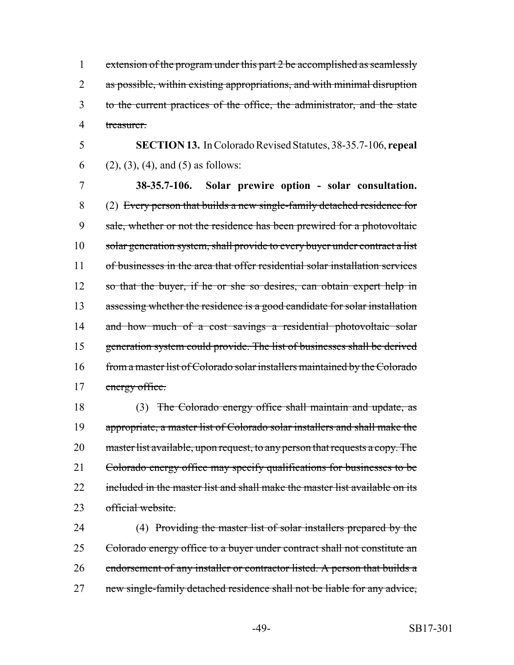extension of the program under this part 2 be accomplished as seamlessly 2 as possible, within existing appropriations, and with minimal disruption to the current practices of the office, the administrator, and the state treasurer.

5 **SECTION 13.** In Colorado Revised Statutes, 38-35.7-106, **repeal** 6 (2), (3), (4), and (5) as follows:

7 **38-35.7-106. Solar prewire option - solar consultation.** 8 (2) Every person that builds a new single-family detached residence for 9 sale, whether or not the residence has been prewired for a photovoltaic 10 solar generation system, shall provide to every buyer under contract a list 11 of businesses in the area that offer residential solar installation services 12 so that the buyer, if he or she so desires, can obtain expert help in 13 assessing whether the residence is a good candidate for solar installation 14 and how much of a cost savings a residential photovoltaic solar 15 generation system could provide. The list of businesses shall be derived 16 from a master list of Colorado solar installers maintained by the Colorado 17 energy office.

18 (3) The Colorado energy office shall maintain and update, as 19 appropriate, a master list of Colorado solar installers and shall make the 20 master list available, upon request, to any person that requests a copy. The 21 Colorado energy office may specify qualifications for businesses to be 22 included in the master list and shall make the master list available on its 23 official website.

24 (4) Providing the master list of solar installers prepared by the 25 Colorado energy office to a buyer under contract shall not constitute an 26 endorsement of any installer or contractor listed. A person that builds a 27 new single-family detached residence shall not be liable for any advice,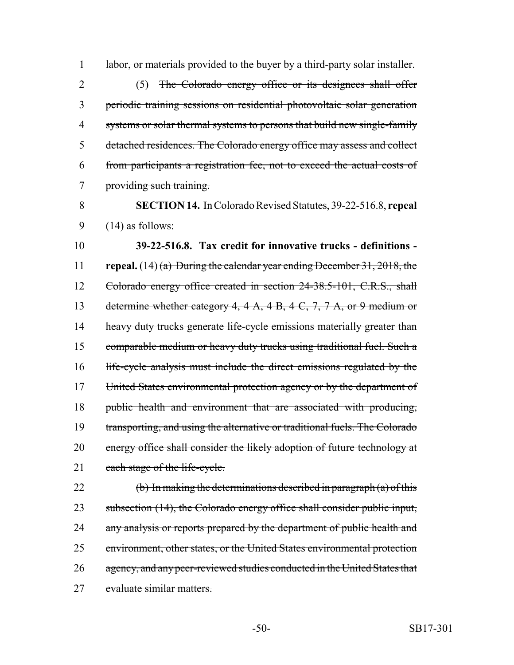1 labor, or materials provided to the buyer by a third-party solar installer. (5) The Colorado energy office or its designees shall offer periodic training sessions on residential photovoltaic solar generation 4 systems or solar thermal systems to persons that build new single-family detached residences. The Colorado energy office may assess and collect from participants a registration fee, not to exceed the actual costs of providing such training.

8 **SECTION 14.** In Colorado Revised Statutes, 39-22-516.8, **repeal** 9  $(14)$  as follows:

10 **39-22-516.8. Tax credit for innovative trucks - definitions -** 11 **repeal.** (14) (a) During the calendar year ending December 31, 2018, the 12 Colorado energy office created in section 24-38.5-101, C.R.S., shall 13 determine whether category 4, 4 A, 4 B, 4 C, 7, 7 A, or 9 medium or 14 heavy duty trucks generate life-cycle emissions materially greater than 15 comparable medium or heavy duty trucks using traditional fuel. Such a 16 life-cycle analysis must include the direct emissions regulated by the 17 United States environmental protection agency or by the department of 18 public health and environment that are associated with producing, 19 transporting, and using the alternative or traditional fuels. The Colorado 20 energy office shall consider the likely adoption of future technology at 21 each stage of the life-cycle.

22 (b) In making the determinations described in paragraph  $(a)$  of this 23 subsection (14), the Colorado energy office shall consider public input, 24 any analysis or reports prepared by the department of public health and 25 environment, other states, or the United States environmental protection 26 agency, and any peer-reviewed studies conducted in the United States that 27 evaluate similar matters.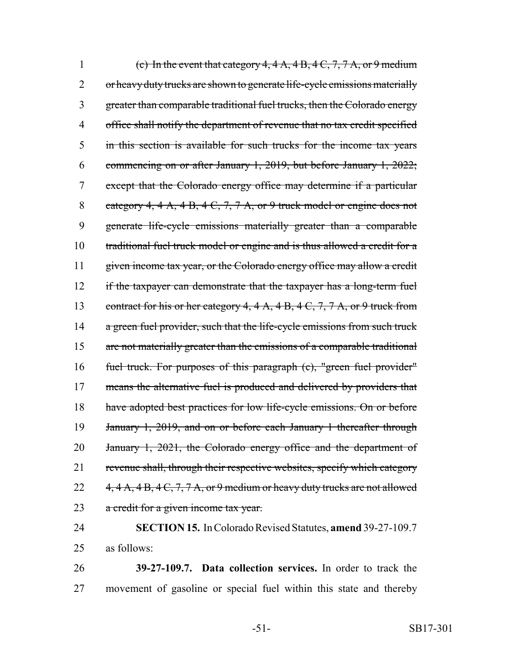1 (c) In the event that category  $4, 4 \text{ A}, 4 \text{ B}, 4 \text{ C}, 7, 7 \text{ A}, \text{or } 9 \text{ medium}$ 2 or heavy duty trucks are shown to generate life-cycle emissions materially 3 greater than comparable traditional fuel trucks, then the Colorado energy 4 office shall notify the department of revenue that no tax credit specified 5 in this section is available for such trucks for the income tax years 6 commencing on or after January 1, 2019, but before January 1, 2022; 7 except that the Colorado energy office may determine if a particular 8 category 4, 4 A, 4 B, 4 C, 7, 7 A, or 9 truck model or engine does not 9 generate life-cycle emissions materially greater than a comparable 10 traditional fuel truck model or engine and is thus allowed a credit for a 11 given income tax year, or the Colorado energy office may allow a credit 12 if the taxpayer can demonstrate that the taxpayer has a long-term fuel 13 contract for his or her category 4, 4 A, 4 B, 4 C, 7, 7 A, or 9 truck from 14 a green fuel provider, such that the life-cycle emissions from such truck 15 are not materially greater than the emissions of a comparable traditional 16 fuel truck. For purposes of this paragraph (c), "green fuel provider" 17 means the alternative fuel is produced and delivered by providers that 18 have adopted best practices for low life-cycle emissions. On or before 19 January 1, 2019, and on or before each January 1 thereafter through 20 January 1, 2021, the Colorado energy office and the department of 21 revenue shall, through their respective websites, specify which category 22  $4, 4 \text{ A}, 4 \text{ B}, 4 \text{ C}, 7, 7 \text{ A}, \text{or } 9 \text{ medium or heavy duty trucks are not allowed}$ 23 a credit for a given income tax year.

# 24 **SECTION 15.** In Colorado Revised Statutes, **amend** 39-27-109.7 25 as follows:

26 **39-27-109.7. Data collection services.** In order to track the 27 movement of gasoline or special fuel within this state and thereby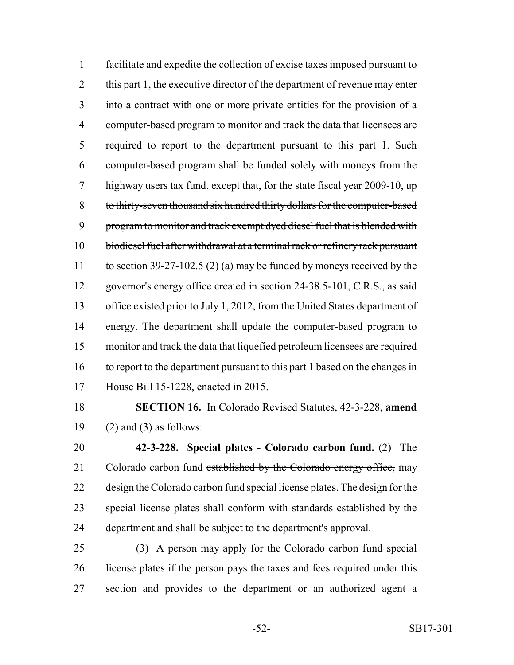facilitate and expedite the collection of excise taxes imposed pursuant to 2 this part 1, the executive director of the department of revenue may enter into a contract with one or more private entities for the provision of a computer-based program to monitor and track the data that licensees are required to report to the department pursuant to this part 1. Such computer-based program shall be funded solely with moneys from the 7 highway users tax fund. except that, for the state fiscal year 2009-10, up to thirty-seven thousand six hundred thirty dollars for the computer-based 9 program to monitor and track exempt dyed diesel fuel that is blended with biodiesel fuel after withdrawal at a terminal rack or refinery rack pursuant 11 to section  $39-27-102.5$  (2) (a) may be funded by moneys received by the 12 governor's energy office created in section 24-38.5-101, C.R.S., as said 13 office existed prior to July 1, 2012, from the United States department of 14 energy. The department shall update the computer-based program to monitor and track the data that liquefied petroleum licensees are required to report to the department pursuant to this part 1 based on the changes in House Bill 15-1228, enacted in 2015.

 **SECTION 16.** In Colorado Revised Statutes, 42-3-228, **amend** 19  $(2)$  and  $(3)$  as follows:

 **42-3-228. Special plates - Colorado carbon fund.** (2) The 21 Colorado carbon fund established by the Colorado energy office, may design the Colorado carbon fund special license plates. The design for the special license plates shall conform with standards established by the department and shall be subject to the department's approval.

 (3) A person may apply for the Colorado carbon fund special license plates if the person pays the taxes and fees required under this section and provides to the department or an authorized agent a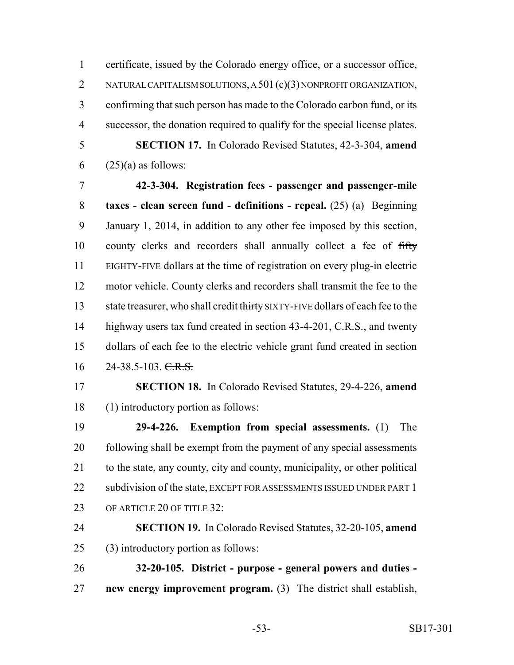1 certificate, issued by the Colorado energy office, or a successor office, 2 NATURAL CAPITALISM SOLUTIONS, A 501 (c)(3) NONPROFIT ORGANIZATION, confirming that such person has made to the Colorado carbon fund, or its successor, the donation required to qualify for the special license plates. **SECTION 17.** In Colorado Revised Statutes, 42-3-304, **amend**

 $6 \qquad (25)(a)$  as follows:

 **42-3-304. Registration fees - passenger and passenger-mile taxes - clean screen fund - definitions - repeal.** (25) (a) Beginning January 1, 2014, in addition to any other fee imposed by this section, 10 county clerks and recorders shall annually collect a fee of fifty EIGHTY-FIVE dollars at the time of registration on every plug-in electric motor vehicle. County clerks and recorders shall transmit the fee to the 13 state treasurer, who shall credit thirty SIXTY-FIVE dollars of each fee to the 14 highway users tax fund created in section 43-4-201, C.R.S., and twenty dollars of each fee to the electric vehicle grant fund created in section  $16 \qquad 24-38.5-103. \qquad \text{C.R.S.}$ 

 **SECTION 18.** In Colorado Revised Statutes, 29-4-226, **amend** (1) introductory portion as follows:

 **29-4-226. Exemption from special assessments.** (1) The following shall be exempt from the payment of any special assessments to the state, any county, city and county, municipality, or other political 22 subdivision of the state, EXCEPT FOR ASSESSMENTS ISSUED UNDER PART 1 23 OF ARTICLE 20 OF TITLE 32:

 **SECTION 19.** In Colorado Revised Statutes, 32-20-105, **amend** (3) introductory portion as follows:

 **32-20-105. District - purpose - general powers and duties - new energy improvement program.** (3) The district shall establish,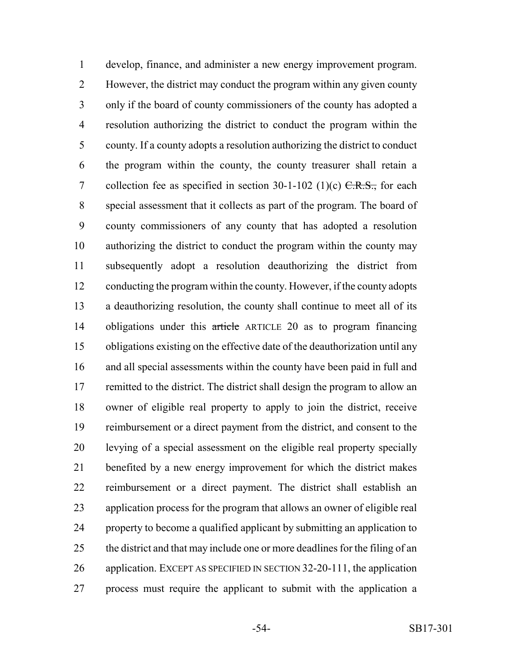develop, finance, and administer a new energy improvement program. However, the district may conduct the program within any given county only if the board of county commissioners of the county has adopted a resolution authorizing the district to conduct the program within the county. If a county adopts a resolution authorizing the district to conduct the program within the county, the county treasurer shall retain a 7 collection fee as specified in section  $30-1-102$  (1)(c)  $C.R.S.,$  for each special assessment that it collects as part of the program. The board of county commissioners of any county that has adopted a resolution authorizing the district to conduct the program within the county may subsequently adopt a resolution deauthorizing the district from conducting the program within the county. However, if the county adopts a deauthorizing resolution, the county shall continue to meet all of its 14 obligations under this article ARTICLE 20 as to program financing obligations existing on the effective date of the deauthorization until any and all special assessments within the county have been paid in full and remitted to the district. The district shall design the program to allow an owner of eligible real property to apply to join the district, receive reimbursement or a direct payment from the district, and consent to the levying of a special assessment on the eligible real property specially benefited by a new energy improvement for which the district makes reimbursement or a direct payment. The district shall establish an application process for the program that allows an owner of eligible real property to become a qualified applicant by submitting an application to the district and that may include one or more deadlines for the filing of an application. EXCEPT AS SPECIFIED IN SECTION 32-20-111, the application process must require the applicant to submit with the application a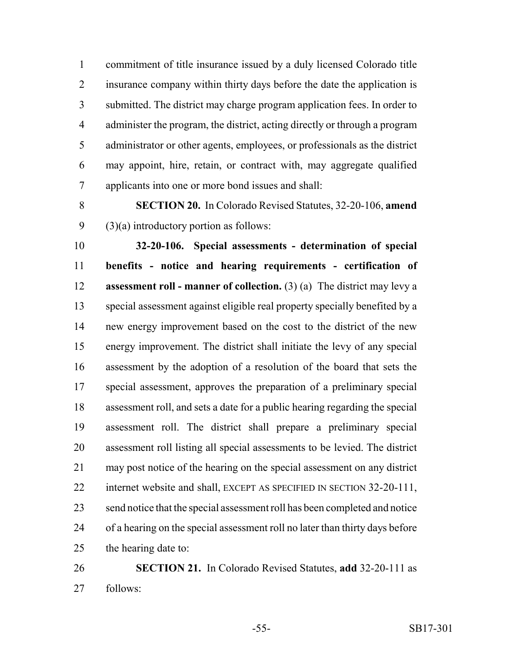commitment of title insurance issued by a duly licensed Colorado title insurance company within thirty days before the date the application is submitted. The district may charge program application fees. In order to administer the program, the district, acting directly or through a program administrator or other agents, employees, or professionals as the district may appoint, hire, retain, or contract with, may aggregate qualified applicants into one or more bond issues and shall:

 **SECTION 20.** In Colorado Revised Statutes, 32-20-106, **amend** 9  $(3)(a)$  introductory portion as follows:

 **32-20-106. Special assessments - determination of special benefits - notice and hearing requirements - certification of assessment roll - manner of collection.** (3) (a) The district may levy a special assessment against eligible real property specially benefited by a new energy improvement based on the cost to the district of the new energy improvement. The district shall initiate the levy of any special assessment by the adoption of a resolution of the board that sets the special assessment, approves the preparation of a preliminary special assessment roll, and sets a date for a public hearing regarding the special assessment roll. The district shall prepare a preliminary special assessment roll listing all special assessments to be levied. The district may post notice of the hearing on the special assessment on any district 22 internet website and shall, EXCEPT AS SPECIFIED IN SECTION 32-20-111, send notice that the special assessment roll has been completed and notice of a hearing on the special assessment roll no later than thirty days before the hearing date to:

 **SECTION 21.** In Colorado Revised Statutes, **add** 32-20-111 as follows: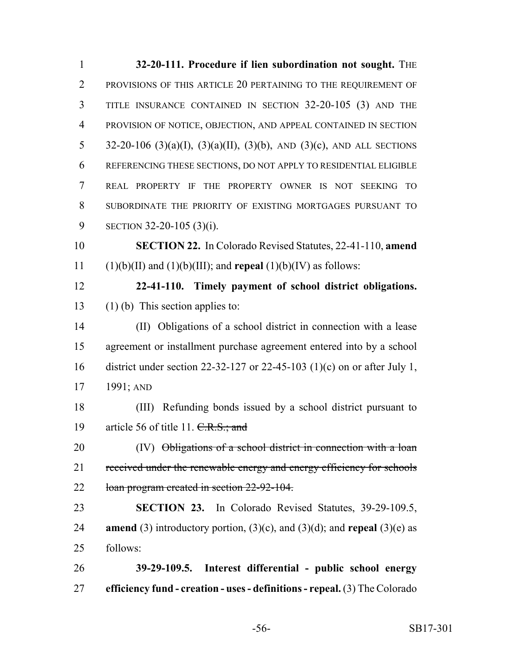**32-20-111. Procedure if lien subordination not sought.** THE PROVISIONS OF THIS ARTICLE 20 PERTAINING TO THE REQUIREMENT OF TITLE INSURANCE CONTAINED IN SECTION 32-20-105 (3) AND THE PROVISION OF NOTICE, OBJECTION, AND APPEAL CONTAINED IN SECTION 32-20-106 (3)(a)(I), (3)(a)(II), (3)(b), AND (3)(c), AND ALL SECTIONS REFERENCING THESE SECTIONS, DO NOT APPLY TO RESIDENTIAL ELIGIBLE REAL PROPERTY IF THE PROPERTY OWNER IS NOT SEEKING TO SUBORDINATE THE PRIORITY OF EXISTING MORTGAGES PURSUANT TO SECTION 32-20-105 (3)(i). **SECTION 22.** In Colorado Revised Statutes, 22-41-110, **amend** 11 (1)(b)(II) and (1)(b)(III); and **repeal** (1)(b)(IV) as follows: **22-41-110. Timely payment of school district obligations.** (1) (b) This section applies to: (II) Obligations of a school district in connection with a lease agreement or installment purchase agreement entered into by a school district under section 22-32-127 or 22-45-103 (1)(c) on or after July 1, 1991; AND (III) Refunding bonds issued by a school district pursuant to 19 article 56 of title 11.  $C.R.S.:$  and 20 (IV) Obligations of a school district in connection with a loan 21 received under the renewable energy and energy efficiency for schools loan program created in section 22-92-104. **SECTION 23.** In Colorado Revised Statutes, 39-29-109.5, **amend** (3) introductory portion, (3)(c), and (3)(d); and **repeal** (3)(e) as follows: **39-29-109.5. Interest differential - public school energy efficiency fund - creation - uses - definitions - repeal.** (3) The Colorado